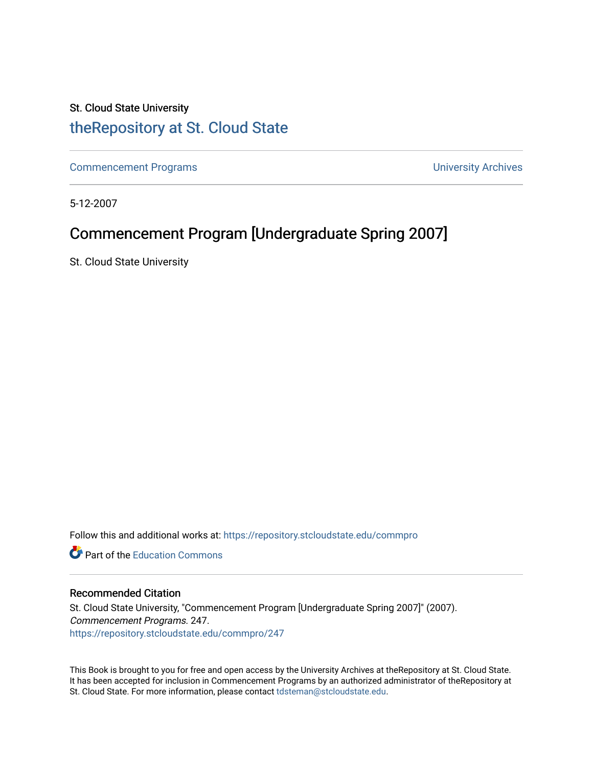### St. Cloud State University [theRepository at St. Cloud State](https://repository.stcloudstate.edu/)

[Commencement Programs](https://repository.stcloudstate.edu/commpro) **Commencement Programs University Archives** 

5-12-2007

### Commencement Program [Undergraduate Spring 2007]

St. Cloud State University

Follow this and additional works at: [https://repository.stcloudstate.edu/commpro](https://repository.stcloudstate.edu/commpro?utm_source=repository.stcloudstate.edu%2Fcommpro%2F247&utm_medium=PDF&utm_campaign=PDFCoverPages) 

**C** Part of the [Education Commons](http://network.bepress.com/hgg/discipline/784?utm_source=repository.stcloudstate.edu%2Fcommpro%2F247&utm_medium=PDF&utm_campaign=PDFCoverPages)

#### Recommended Citation

St. Cloud State University, "Commencement Program [Undergraduate Spring 2007]" (2007). Commencement Programs. 247. [https://repository.stcloudstate.edu/commpro/247](https://repository.stcloudstate.edu/commpro/247?utm_source=repository.stcloudstate.edu%2Fcommpro%2F247&utm_medium=PDF&utm_campaign=PDFCoverPages) 

This Book is brought to you for free and open access by the University Archives at theRepository at St. Cloud State. It has been accepted for inclusion in Commencement Programs by an authorized administrator of theRepository at St. Cloud State. For more information, please contact [tdsteman@stcloudstate.edu.](mailto:tdsteman@stcloudstate.edu)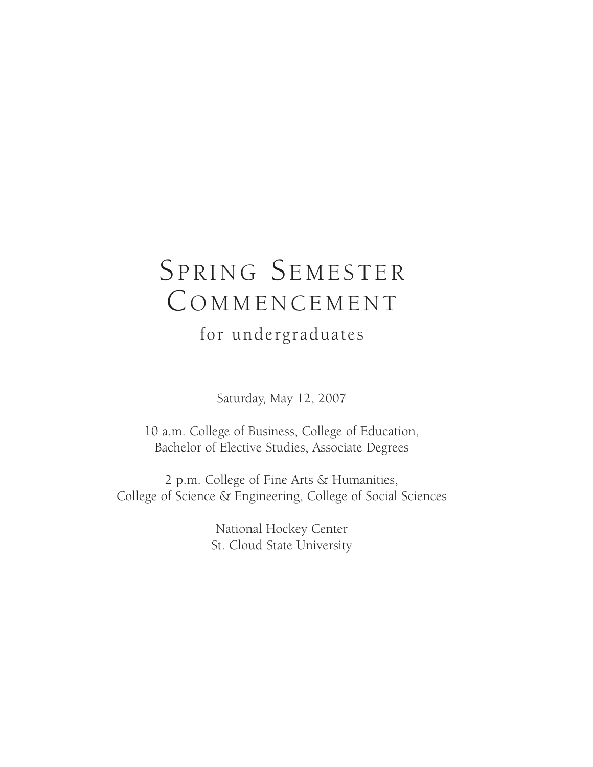# SPRING SEMESTER **COMMENCEMENT**

for undergraduates

Saturday, May 12, 2007

10 a.m. College of Business, College of Education, Bachelor of Elective Studies, Associate Degrees

2 p.m. College of Fine Arts & Humanities, College of Science & Engineering, College of Social Sciences

> National Hockey Center St. Cloud State University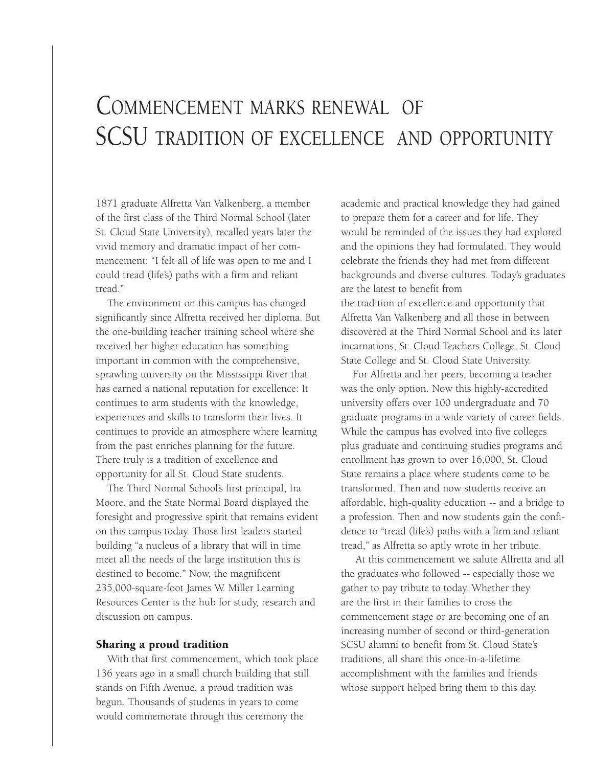# COMMENCEMENT MARKS RENEWAL OF SCSU TRADITION OF EXCELLENCE AND OPPORTUNITY

1871 graduate Alfretta Van Valkenberg, a member of the first class of the Third Normal School (later St. Cloud State University), recalled years later the vivid memory and dramatic impact of her commencement: "I felt all of life was open to me and I could tread (life's) paths with a firm and reliant tread."

The environment on this campus has changed significantly since Alfretta received her diploma. But the one-building teacher training school where she received her higher education has something important in common with the comprehensive, sprawling university on the Mississippi River that has earned a national reputation for excellence: It continues to arm students with the knowledge, experiences and skills to transform their lives. It continues to provide an atmosphere where learning from the past enriches planning for the future. There truly is a tradition of excellence and opportunity for all St. Cloud State students.

The Third Normal School's first principal, Ira Moore, and the State Normal Board displayed the foresight and progressive spirit that remains evident on this campus today. Those first leaders started building "a nucleus of a library that will in time meet all the needs of the large institution this is destined to become." Now, the magnificent 235,000-square-foot James W. Miller Learning Resources Center is the hub for study, research and discussion on campus.

#### **Sharing a proud tradition**

With that first commencement, which took place 136 years ago in a small church building that still stands on Fifth Avenue, a proud tradition was begun. Thousands of students in years to come would commemorate through this ceremony the

academic and practical knowledge they had gained to prepare them for a career and for life. They would be reminded of the issues they had explored and the opinions they had formulated. They would celebrate the friends they had met from different backgrounds and diverse cultures. Today's graduates are the latest to benefit from the tradition of excellence and opportunity that

Alfretta Van Valkenberg and all those in between discovered at the Third Normal School and its later incarnations, St. Cloud Teachers College, St. Cloud State College and St. Cloud State University.

For Alfretta and her peers, becoming a teacher was the only option. Now this highly-accredited university offers over 100 undergraduate and 70 graduate programs in a wide variety of career fields. While the campus has evolved into five colleges plus graduate and continuing studies programs and enrollment has grown to over 16,000, St. Cloud State remains a place where students come to be transformed. Then and now students receive an affordable, high-quality education -- and a bridge to a profession. Then and now students gain the confidence to "tread (life's) paths with a firm and reliant tread," as Alfretta so aptly wrote in her tribute.

At this commencement we salute Alfretta and all the graduates who followed -- especially those we gather to pay tribute to today. Whether they are the first in their families to cross the commencement stage or are becoming one of an increasing number of second or third-generation SCSU alumni to benefit from St. Cloud State's traditions, all share this once-in-a-lifetime accomplishment with the families and friends whose support helped bring them to this day.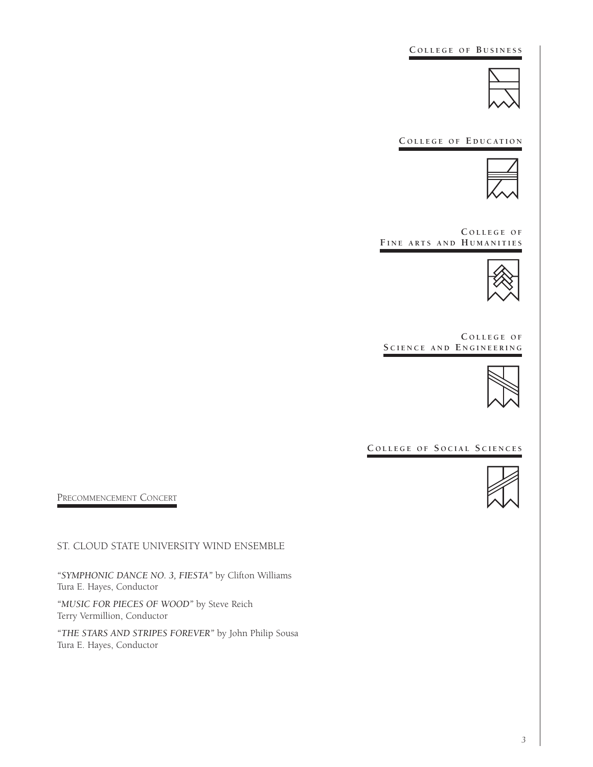**C O L L E G E O F B U S I N E S S**



**C O L L E G E O F E D U C AT I O N**



**C O L L E G E O F F I N E A R T S A N D H U M A N I T I E S**



**C O L L E G E O F S C I E N C E A N D E N G I N E E R I N G**



 $C$  **OLLEGE OF SOCIAL SCIENCES** 



PRECOMMENCEMENT CONCERT

ST. CLOUD STATE UNIVERSITY WIND ENSEMBLE

*"SYMPHONIC DANCE NO. 3, FIESTA"* by Clifton Williams Tura E. Hayes, Conductor

*"MUSIC FOR PIECES OF WOOD"* by Steve Reich Terry Vermillion, Conductor

*"THE STARS AND STRIPES FOREVER"* by John Philip Sousa Tura E. Hayes, Conductor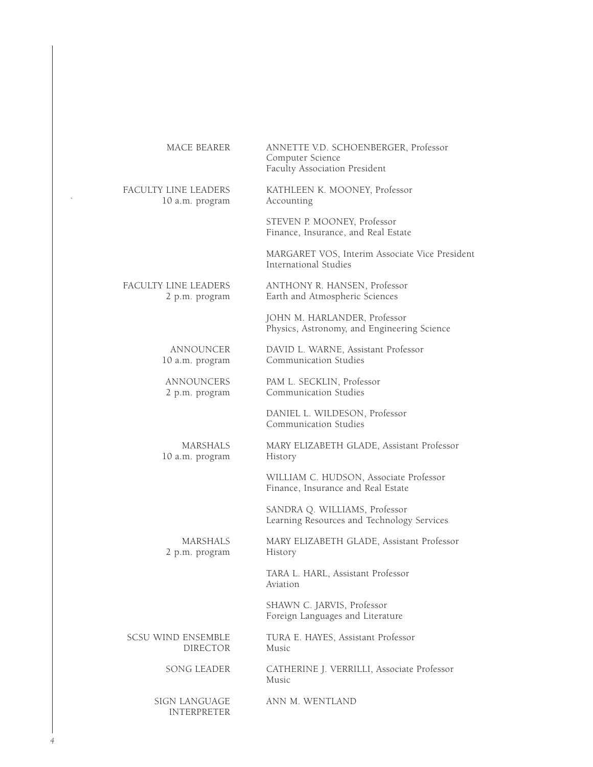| MACE BEARER | ANNETTE V.D. SCHOENBERGER, Professor |
|-------------|--------------------------------------|
|             | Computer Science                     |
|             | Faculty Association President        |

FACULTY LINE LEADERS KATHLEEN K. MOONEY, Professor ` 10 a.m. program Accounting

STEVEN P. MOONEY, Professor Finance, Insurance, and Real Estate

MARGARET VOS, Interim Associate Vice President International Studies

FACULTY LINE LEADERS ANTHONY R. HANSEN, Professor 2 p.m. program Earth and Atmospheric Sciences

> JOHN M. HARLANDER, Professor Physics, Astronomy, and Engineering Science

ANNOUNCER DAVID L. WARNE, Assistant Professor 10 a.m. program Communication Studies

ANNOUNCERS PAM L. SECKLIN, Professor<br>2 p.m. program Communication Studies Communication Studies

> DANIEL L. WILDESON, Professor Communication Studies

10 a.m. program

MARSHALS MARY ELIZABETH GLADE, Assistant Professor

WILLIAM C. HUDSON, Associate Professor Finance, Insurance and Real Estate

SANDRA Q. WILLIAMS, Professor Learning Resources and Technology Services

2 p.m. program History

MARSHALS MARY ELIZABETH GLADE, Assistant Professor

TARA L. HARL, Assistant Professor Aviation

SHAWN C. JARVIS, Professor Foreign Languages and Literature

SCSU WIND ENSEMBLE TURA E. HAYES, Assistant Professor<br>DIRECTOR Music **DIRECTOR** 

> SONG LEADER CATHERINE J. VERRILLI, Associate Professor Music

INTERPRETER

SIGN LANGUAGE ANN M. WENTLAND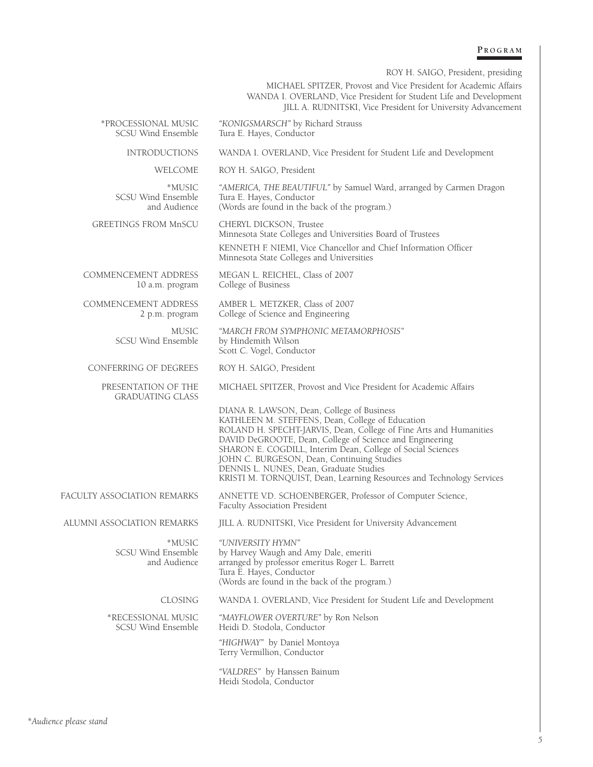#### **P R O G R A M**

|                                                     | ROY H. SAIGO, President, presiding                                                                                                                                                                                                                                                                                                                                                                                                                                |
|-----------------------------------------------------|-------------------------------------------------------------------------------------------------------------------------------------------------------------------------------------------------------------------------------------------------------------------------------------------------------------------------------------------------------------------------------------------------------------------------------------------------------------------|
|                                                     | MICHAEL SPITZER, Provost and Vice President for Academic Affairs<br>WANDA I. OVERLAND, Vice President for Student Life and Development<br>JILL A. RUDNITSKI, Vice President for University Advancement                                                                                                                                                                                                                                                            |
| *PROCESSIONAL MUSIC<br><b>SCSU Wind Ensemble</b>    | "KONIGSMARSCH" by Richard Strauss<br>Tura E. Hayes, Conductor                                                                                                                                                                                                                                                                                                                                                                                                     |
| <b>INTRODUCTIONS</b>                                | WANDA I. OVERLAND, Vice President for Student Life and Development                                                                                                                                                                                                                                                                                                                                                                                                |
| WELCOME                                             | ROY H. SAIGO, President                                                                                                                                                                                                                                                                                                                                                                                                                                           |
| *MUSIC<br>SCSU Wind Ensemble<br>and Audience        | "AMERICA, THE BEAUTIFUL" by Samuel Ward, arranged by Carmen Dragon<br>Tura E. Hayes, Conductor<br>(Words are found in the back of the program.)                                                                                                                                                                                                                                                                                                                   |
| GREETINGS FROM MnSCU                                | CHERYL DICKSON, Trustee<br>Minnesota State Colleges and Universities Board of Trustees<br>KENNETH F. NIEMI, Vice Chancellor and Chief Information Officer<br>Minnesota State Colleges and Universities                                                                                                                                                                                                                                                            |
| <b>COMMENCEMENT ADDRESS</b><br>10 a.m. program      | MEGAN L. REICHEL, Class of 2007<br>College of Business                                                                                                                                                                                                                                                                                                                                                                                                            |
| COMMENCEMENT ADDRESS<br>2 p.m. program              | AMBER L. METZKER, Class of 2007<br>College of Science and Engineering                                                                                                                                                                                                                                                                                                                                                                                             |
| <b>MUSIC</b><br>SCSU Wind Ensemble                  | "MARCH FROM SYMPHONIC METAMORPHOSIS"<br>by Hindemith Wilson<br>Scott C. Vogel, Conductor                                                                                                                                                                                                                                                                                                                                                                          |
| CONFERRING OF DEGREES                               | ROY H. SAIGO, President                                                                                                                                                                                                                                                                                                                                                                                                                                           |
| PRESENTATION OF THE<br><b>GRADUATING CLASS</b>      | MICHAEL SPITZER, Provost and Vice President for Academic Affairs                                                                                                                                                                                                                                                                                                                                                                                                  |
|                                                     | DIANA R. LAWSON, Dean, College of Business<br>KATHLEEN M. STEFFENS, Dean, College of Education<br>ROLAND H. SPECHT-JARVIS, Dean, College of Fine Arts and Humanities<br>DAVID DeGROOTE, Dean, College of Science and Engineering<br>SHARON E. COGDILL, Interim Dean, College of Social Sciences<br>JOHN C. BURGESON, Dean, Continuing Studies<br>DENNIS L. NUNES, Dean, Graduate Studies<br>KRISTI M. TORNQUIST, Dean, Learning Resources and Technology Services |
| FACULTY ASSOCIATION REMARKS                         | ANNETTE V.D. SCHOENBERGER, Professor of Computer Science,<br>Faculty Association President                                                                                                                                                                                                                                                                                                                                                                        |
| ALUMNI ASSOCIATION REMARKS                          | JILL A. RUDNITSKI, Vice President for University Advancement                                                                                                                                                                                                                                                                                                                                                                                                      |
| *MUSIC<br><b>SCSU Wind Ensemble</b><br>and Audience | "UNIVERSITY HYMN"<br>by Harvey Waugh and Amy Dale, emeriti<br>arranged by professor emeritus Roger L. Barrett<br>Tura E. Hayes, Conductor<br>(Words are found in the back of the program.)                                                                                                                                                                                                                                                                        |
| CLOSING                                             | WANDA I. OVERLAND, Vice President for Student Life and Development                                                                                                                                                                                                                                                                                                                                                                                                |
| *RECESSIONAL MUSIC<br><b>SCSU Wind Ensemble</b>     | "MAYFLOWER OVERTURE" by Ron Nelson<br>Heidi D. Stodola, Conductor                                                                                                                                                                                                                                                                                                                                                                                                 |
|                                                     | "HIGHWAY" by Daniel Montoya<br>Terry Vermillion, Conductor                                                                                                                                                                                                                                                                                                                                                                                                        |
|                                                     | "VALDRES" by Hanssen Bainum<br>Heidi Stodola, Conductor                                                                                                                                                                                                                                                                                                                                                                                                           |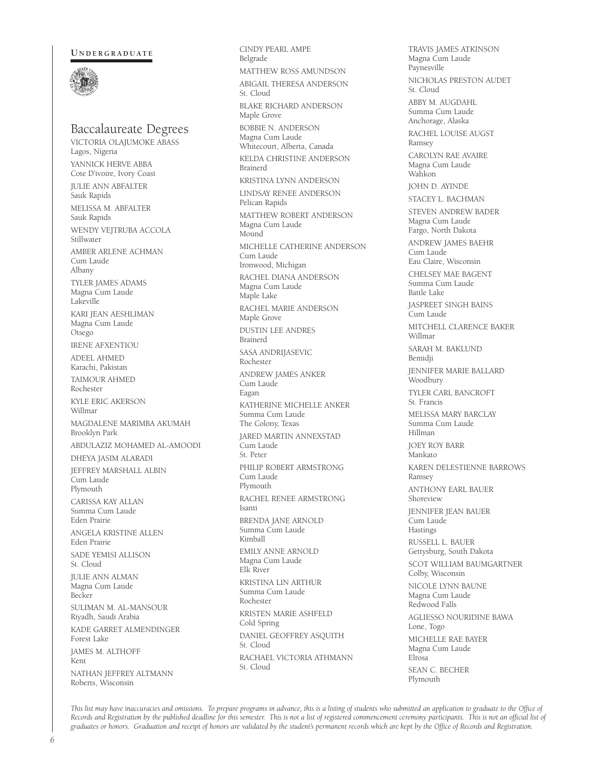#### **U N D E R G R A D U AT E**



### Baccalaureate Degrees

VICTORIA OLAJUMOKE ABASS Lagos, Nigeria YANNICK HERVE ABBA Cote D'ivoire, Ivory Coast JULIE ANN ABFALTER Sauk Rapids MELISSA M. ABFALTER Sauk Rapids WENDY VEJTRUBA ACCOLA Stillwater AMBER ARLENE ACHMAN Cum Laude Albany TYLER JAMES ADAMS Magna Cum Laude Lakeville KARI JEAN AESHLIMAN Magna Cum Laude Otsego IRENE AFXENTIOU ADEEL AHMED Karachi, Pakistan TAIMOUR AHMED Rochester KYLE ERIC AKERSON Willmar MAGDALENE MARIMBA AKUMAH Brooklyn Park ABDULAZIZ MOHAMED AL-AMOODI DHEYA JASIM ALARADI JEFFREY MARSHALL ALBIN Cum Laude Plymouth CARISSA KAY ALLAN Summa Cum Laude Eden Prairie ANGELA KRISTINE ALLEN Eden Prairie SADE YEMISI ALLISON St. Cloud JULIE ANN ALMAN Magna Cum Laude Becker SULIMAN M. AL-MANSOUR Riyadh, Saudi Arabia KADE GARRET ALMENDINGER Forest Lake JAMES M. ALTHOFF Kent NATHAN JEFFREY ALTMANN Roberts, Wisconsin

CINDY PEARL AMPE Belgrade MATTHEW ROSS AMUNDSON ABIGAIL THERESA ANDERSON St. Cloud BLAKE RICHARD ANDERSON Maple Grove BOBBIE N. ANDERSON Magna Cum Laude Whitecourt, Alberta, Canada KELDA CHRISTINE ANDERSON Brainerd KRISTINA LYNN ANDERSON LINDSAY RENEE ANDERSON Pelican Rapids MATTHEW ROBERT ANDERSON Magna Cum Laude Mound MICHELLE CATHERINE ANDERSON Cum Laude Ironwood, Michigan RACHEL DIANA ANDERSON Magna Cum Laude Maple Lake RACHEL MARIE ANDERSON Maple Grove DUSTIN LEE ANDRES Brainerd SASA ANDRIJASEVIC Rochester ANDREW JAMES ANKER Cum Laude Eagan KATHERINE MICHELLE ANKER Summa Cum Laude The Colony, Texas JARED MARTIN ANNEXSTAD Cum Laude St. Peter PHILIP ROBERT ARMSTRONG Cum Laude Plymouth RACHEL RENEE ARMSTRONG Isanti BRENDA JANE ARNOLD Summa Cum Laude Kimball EMILY ANNE ARNOLD Magna Cum Laude Elk River KRISTINA LIN ARTHUR Summa Cum Laude Rochester KRISTEN MARIE ASHFELD Cold Spring DANIEL GEOFFREY ASQUITH St. Cloud RACHAEL VICTORIA ATHMANN St. Cloud

TRAVIS JAMES ATKINSON Magna Cum Laude Paynesville NICHOLAS PRESTON AUDET St. Cloud ABBY M. AUGDAHL Summa Cum Laude Anchorage, Alaska RACHEL LOUISE AUGST Ramsey CAROLYN RAE AVAIRE Magna Cum Laude Wahkon JOHN D. AYINDE STACEY L. BACHMAN STEVEN ANDREW BADER Magna Cum Laude Fargo, North Dakota ANDREW JAMES BAEHR Cum Laude Eau Claire, Wisconsin CHELSEY MAE BAGENT Summa Cum Laude Battle Lake JASPREET SINGH BAINS Cum Laude MITCHELL CLARENCE BAKER Willmar SARAH M. BAKLUND Bemidji JENNIFER MARIE BALLARD Woodbury TYLER CARL BANCROFT St. Francis MELISSA MARY BARCLAY Summa Cum Laude Hillman JOEY ROY BARR Mankato KAREN DELESTIENNE BARROWS Ramsey ANTHONY EARL BAUER Shoreview JENNIFER JEAN BAUER Cum Laude Hastings RUSSELL L. BAUER Gettysburg, South Dakota SCOT WILLIAM BAUMGARTNER Colby, Wisconsin NICOLE LYNN BAUNE Magna Cum Laude Redwood Falls AGLIESSO NOURIDINE BAWA Lone, Togo MICHELLE RAE BAYER Magna Cum Laude Elrosa SEAN C. BECHER Plymouth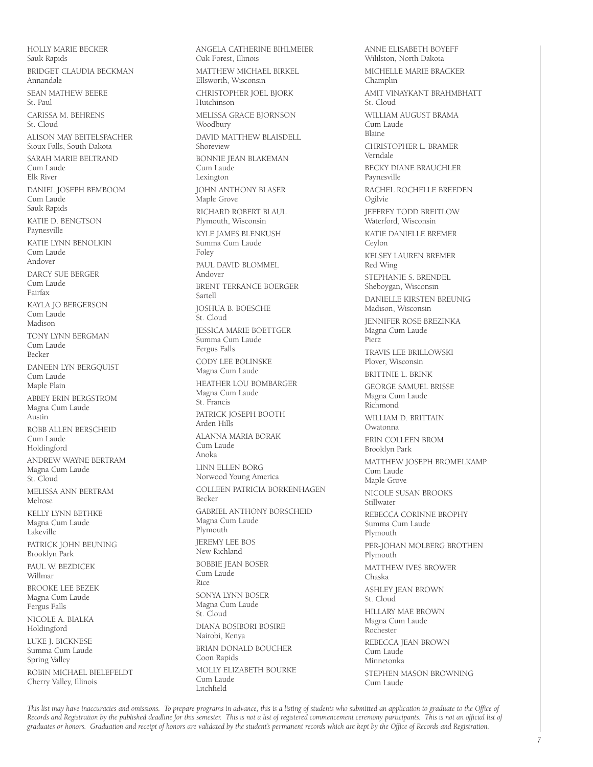HOLLY MARIE BECKER Sauk Rapids BRIDGET CLAUDIA BECKMAN Annandale SEAN MATHEW BEERE St. Paul CARISSA M. BEHRENS St. Cloud ALISON MAY BEITEL SPACHER Sioux Falls, South Dakota SARAH MARIE BELTRAND Cum Laude Elk River DANIEL JOSEPH BEMBOOM Cum Laude Sauk Rapids KATIE D. BENGTSON Paynesville KATIE LYNN BENOLKIN Cum Laude Andover DARCY SUE BERGER Cum Laude Fairfax KAYLA JO BERGERSON Cum Laude Madison TONY LYNN BERGMAN Cum Laude Becker DANEEN LYN BERGQUIST Cum Laude Maple Plain ABBEY ERIN BERGSTROM Magna Cum Laude Austin ROBB ALLEN BERSCHEID Cum Laude Holdingford ANDREW WAYNE BERTRAM Magna Cum Laude St. Cloud MELISSA ANN BERTRAM Melrose KELLY LYNN BETHKE Magna Cum Laude Lakeville PATRICK JOHN BEUNING Brooklyn Park PAUL W. BEZDICEK Willmar BROOKE LEE BEZEK Magna Cum Laude Fergus Falls NICOLE A. BIALKA Holdingford LUKE J. BICKNESE Summa Cum Laude Spring Valley ROBIN MICHAEL BIELEFELDT Cherry Valley, Illinois

ANGELA CATHERINE BIHLMEIER Oak Forest, Illinois MATTHEW MICHAEL BIRKEL Ellsworth, Wisconsin CHRISTOPHER JOEL BJORK Hutchinson MELISSA GRACE BJORNSON Woodbury DAVID MATTHEW BLAISDELL Shoreview BONNIE JEAN BLAKEMAN Cum Laude Lexington JOHN ANTHONY BLASER Maple Grove RICHARD ROBERT BLAUL Plymouth, Wisconsin KYLE JAMES BLENKUSH Summa Cum Laude Foley PAUL DAVID BLOMMEL. Andover BRENT TERRANCE BOERGER Sartell JOSHUA B. BOESCHE St. Cloud JESSICA MARIE BOETTGER Summa Cum Laude Fergus Falls CODY LEE BOLINSKE Magna Cum Laude HEATHER LOU BOMBARGER Magna Cum Laude St. Francis PATRICK JOSEPH BOOTH Arden Hills ALANNA MARIA BORAK Cum Laude Anoka LINN ELLEN BORG Norwood Young America COLLEEN PATRICIA BORKENHAGEN Becker GABRIEL ANTHONY BORSCHEID Magna Cum Laude Plymouth JEREMY LEE BOS New Richland BOBBIE JEAN BOSER Cum Laude Rice SONYA LYNN BOSER Magna Cum Laude St. Cloud DIANA BOSIBORI BOSIRE Nairobi, Kenya BRIAN DONALD BOUCHER Coon Rapids MOLLY ELIZABETH BOURKE Cum Laude Litchfield

ANNE ELISABETH BOYEFF Wililston, North Dakota MICHELLE MARIE BRACKER Champlin AMIT VINAYKANT BRAHMBHATT St. Cloud WILLIAM AUGUST BRAMA Cum Laude Blaine CHRISTOPHER L. BRAMER Verndale BECKY DIANE BRAUCHLER Paynesville RACHEL ROCHELLE BREEDEN Ogilvie JEFFREY TODD BREITLOW Waterford, Wisconsin KATIE DANIELLE BREMER Ceylon KELSEY LAUREN BREMER Red Wing STEPHANIE S. BRENDEL Sheboygan, Wisconsin DANIELLE KIRSTEN BREUNIG Madison, Wisconsin JENNIFER ROSE BREZINKA Magna Cum Laude Pierz TRAVIS LEE BRILLOWSKI Plover, Wisconsin BRITTNIE L. BRINK GEORGE SAMUEL BRISSE Magna Cum Laude Richmond WILLIAM D. BRITTAIN Owatonna ERIN COLLEEN BROM Brooklyn Park MATTHEW JOSEPH BROMELKAMP Cum Laude Maple Grove NICOLE SUSAN BROOKS Stillwater REBECCA CORINNE BROPHY Summa Cum Laude Plymouth PER-JOHAN MOLBERG BROTHEN Plymouth MATTHEW IVES BROWER Chaska ASHLEY JEAN BROWN St. Cloud HILLARY MAE BROWN Magna Cum Laude Rochester REBECCA JEAN BROWN Cum Laude Minnetonka STEPHEN MASON BROWNING Cum Laude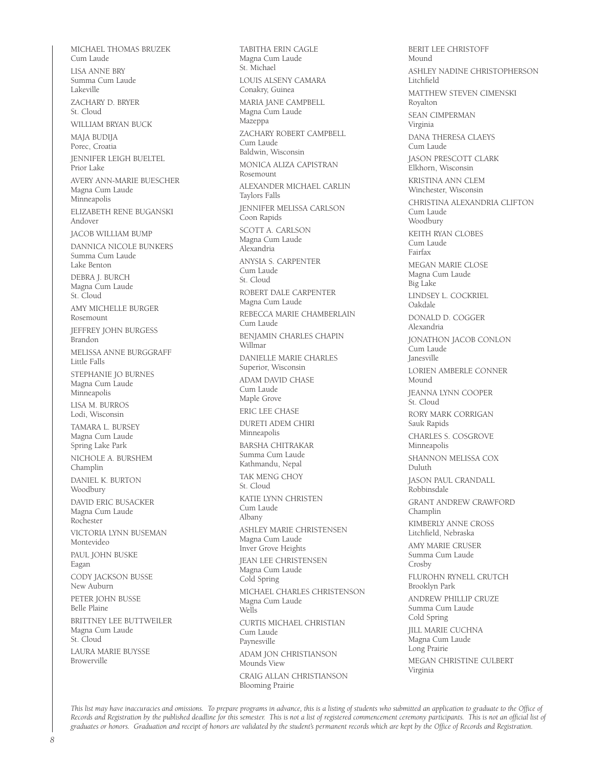MICHAEL THOMAS BRUZEK Cum Laude LISA ANNE BRY Summa Cum Laude Lakeville ZACHARY D. BRYER St. Cloud WILLIAM BRYAN BUCK MAJA BUDIJA Porec, Croatia JENNIFER LEIGH BUELTEL Prior Lake AVERY ANN-MARIE BUESCHER Magna Cum Laude Minneapolis ELIZABETH RENE BUGANSKI Andover JACOB WILLIAM BUMP DANNICA NICOLE BUNKERS Summa Cum Laude Lake Benton DEBRA J. BURCH Magna Cum Laude St. Cloud AMY MICHELLE BURGER Rosemount JEFFREY JOHN BURGESS Brandon MELISSA ANNE BURGGRAFF Little Falls STEPHANIE JO BURNES Magna Cum Laude Minneapolis LISA M. BURROS Lodi, Wisconsin TAMARA L. BURSEY Magna Cum Laude Spring Lake Park NICHOLE A. BURSHEM Champlin DANIEL K. BURTON Woodbury DAVID ERIC BUSACKER Magna Cum Laude Rochester VICTORIA LYNN BUSEMAN Montevideo PAUL JOHN BUSKE Eagan CODY JACKSON BUSSE New Auburn PETER JOHN BUSSE Belle Plaine BRITTNEY LEE BUTTWEILER Magna Cum Laude St. Cloud LAURA MARIE BUYSSE Browerville

TABITHA ERIN CAGLE Magna Cum Laude St. Michael LOUIS ALSENY CAMARA Conakry, Guinea MARIA JANE CAMPBELL Magna Cum Laude Mazeppa ZACHARY ROBERT CAMPBELL Cum Laude Baldwin, Wisconsin MONICA ALIZA CAPISTRAN Rosemount ALEXANDER MICHAEL CARLIN Taylors Falls JENNIFER MELISSA CARLSON Coon Rapids SCOTT A. CARLSON Magna Cum Laude Alexandria ANYSIA S. CARPENTER Cum Laude St. Cloud ROBERT DALE CARPENTER Magna Cum Laude REBECCA MARIE CHAMBERLAIN Cum Laude BENJAMIN CHARLES CHAPIN Willmar DANIELLE MARIE CHARLES Superior, Wisconsin ADAM DAVID CHASE Cum Laude Maple Grove ERIC LEE CHASE DURETI ADEM CHIRI Minneapolis BARSHA CHITRAKAR Summa Cum Laude Kathmandu, Nepal TAK MENG CHOY St. Cloud KATIE LYNN CHRISTEN Cum Laude Albany ASHLEY MARIE CHRISTENSEN Magna Cum Laude Inver Grove Heights JEAN LEE CHRISTENSEN Magna Cum Laude Cold Spring MICHAEL CHARLES CHRISTENSON Magna Cum Laude Wells CURTIS MICHAEL CHRISTIAN Cum Laude Paynesville ADAM JON CHRISTIANSON Mounds View CRAIG ALLAN CHRISTIANSON Blooming Prairie

BERIT LEE CHRISTOFF Mound ASHLEY NADINE CHRISTOPHERSON Litchfield MATTHEW STEVEN CIMENSKI Royalton SEAN CIMPERMAN Virginia DANA THERESA CLAEYS Cum Laude JASON PRESCOTT CLARK Elkhorn, Wisconsin KRISTINA ANN CLEM Winchester, Wisconsin CHRISTINA ALEXANDRIA CLIFTON Cum Laude Woodbury KEITH RYAN CLOBES Cum Laude Fairfax MEGAN MARIE CLOSE Magna Cum Laude Big Lake LINDSEY L. COCKRIEL Oakdale DONALD D. COGGER Alexandria JONATHON JACOB CONLON .<br>Cum Laude Janesville LORIEN AMBERLE CONNER Mound JEANNA LYNN COOPER St. Cloud RORY MARK CORRIGAN Sauk Rapids CHARLES S. COSGROVE Minneapolis SHANNON MELISSA COX Duluth JASON PAUL CRANDALL Robbinsdale GRANT ANDREW CRAWFORD Champlin KIMBERLY ANNE CROSS Litchfield, Nebraska AMY MARIE CRUSER Summa Cum Laude Crosby FLUROHN RYNELL CRUTCH Brooklyn Park ANDREW PHILLIP CRUZE Summa Cum Laude Cold Spring JILL MARIE CUCHNA Magna Cum Laude Long Prairie MEGAN CHRISTINE CULBERT Virginia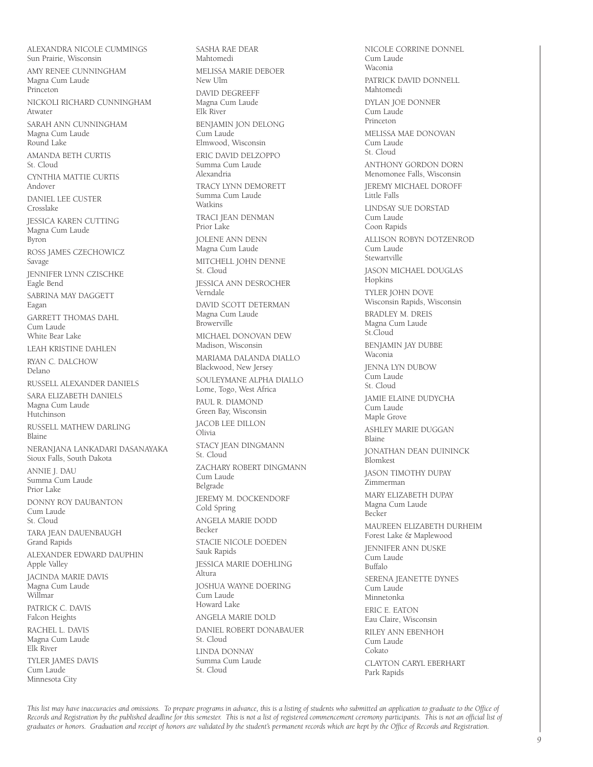ALEXANDRA NICOLE CUMMINGS Sun Prairie, Wisconsin AMY RENEE CUNNINGHAM Magna Cum Laude Princeton NICKOLI RICHARD CUNNINGHAM Atwater SARAH ANN CUNNINGHAM Magna Cum Laude Round Lake AMANDA BETH CURTIS St. Cloud CYNTHIA MATTIE CURTIS Andover DANIEL LEE CUSTER Crosslake JESSICA KAREN CUTTING Magna Cum Laude Byron ROSS JAMES CZECHOWICZ Savage JENNIFER LYNN CZISCHKE Eagle Bend SABRINA MAY DAGGETT Eagan GARRETT THOMAS DAHL Cum Laude White Bear Lake LEAH KRISTINE DAHLEN RYAN C. DALCHOW Delano RUSSELL ALEXANDER DANIELS SARA ELIZABETH DANIELS Magna Cum Laude Hutchinson RUSSELL MATHEW DARLING Blaine NERANJANA LANKADARI DASANAYAKA Sioux Falls, South Dakota ANNIE J. DAU Summa Cum Laude Prior Lake DONNY ROY DAUBANTON Cum Laude St. Cloud TARA JEAN DAUENBAUGH Grand Rapids ALEXANDER EDWARD DAUPHIN Apple Valley JACINDA MARIE DAVIS Magna Cum Laude Willmar PATRICK C. DAVIS Falcon Heights RACHEL L. DAVIS Magna Cum Laude Elk River TYLER JAMES DAVIS Cum Laude

Minnesota City

SASHA RAE DEAR Mahtomedi MELISSA MARIE DEBOER New Ulm DAVID DEGREEFF Magna Cum Laude Elk River BENJAMIN JON DELONG Cum Laude Elmwood, Wisconsin ERIC DAVID DELZOPPO Summa Cum Laude Alexandria TRACY LYNN DEMORETT Summa Cum Laude Watkins TRACI JEAN DENMAN Prior Lake JOLENE ANN DENN Magna Cum Laude MITCHELL JOHN DENNE St. Cloud JESSICA ANN DESROCHER Verndale DAVID SCOTT DETERMAN Magna Cum Laude Browerville MICHAEL DONOVAN DEW Madison, Wisconsin MARIAMA DALANDA DIALLO Blackwood, New Jersey SOULEYMANE ALPHA DIALLO Lome, Togo, West Africa PAUL R. DIAMOND Green Bay, Wisconsin JACOB LEE DILLON Olivia STACY JEAN DINGMANN St. Cloud ZACHARY ROBERT DINGMANN Cum Laude Belgrade JEREMY M. DOCKENDORF Cold Spring ANGELA MARIE DODD Becker STACIE NICOLE DOEDEN Sauk Rapids JESSICA MARIE DOEHLING Altura JOSHUA WAYNE DOERING Cum Laude Howard Lake ANGELA MARIE DOLD DANIEL ROBERT DONABAUER St. Cloud LINDA DONNAY Summa Cum Laude St. Cloud

NICOLE CORRINE DONNEL Cum Laude Waconia PATRICK DAVID DONNELL Mahtomedi DYLAN JOE DONNER Cum Laude Princeton MELISSA MAE DONOVAN Cum Laude St. Cloud ANTHONY GORDON DORN Menomonee Falls, Wisconsin JEREMY MICHAEL DOROFF .<br>Little Falls LINDSAY SUE DORSTAD Cum Laude Coon Rapids ALLISON ROBYN DOTZENROD Cum Laude Stewartville JASON MICHAEL DOUGLAS Hopkins TYLER JOHN DOVE Wisconsin Rapids, Wisconsin BRADLEY M. DREIS Magna Cum Laude St.Cloud BENJAMIN JAY DUBBE Waconia JENNA LYN DUBOW Cum Laude St. Cloud JAMIE ELAINE DUDYCHA Cum Laude Maple Grove ASHLEY MARIE DUGGAN Blaine JONATHAN DEAN DUININCK Blomkest JASON TIMOTHY DUPAY Zimmerman MARY ELIZABETH DUPAY Magna Cum Laude Becker MAUREEN ELIZABETH DURHEIM Forest Lake & Maplewood JENNIFER ANN DUSKE Cum Laude Buffalo SERENA JEANETTE DYNES Cum Laude Minnetonka ERIC E. EATON Eau Claire, Wisconsin RILEY ANN EBENHOH Cum Laude Cokato CLAYTON CARYL EBERHART Park Rapids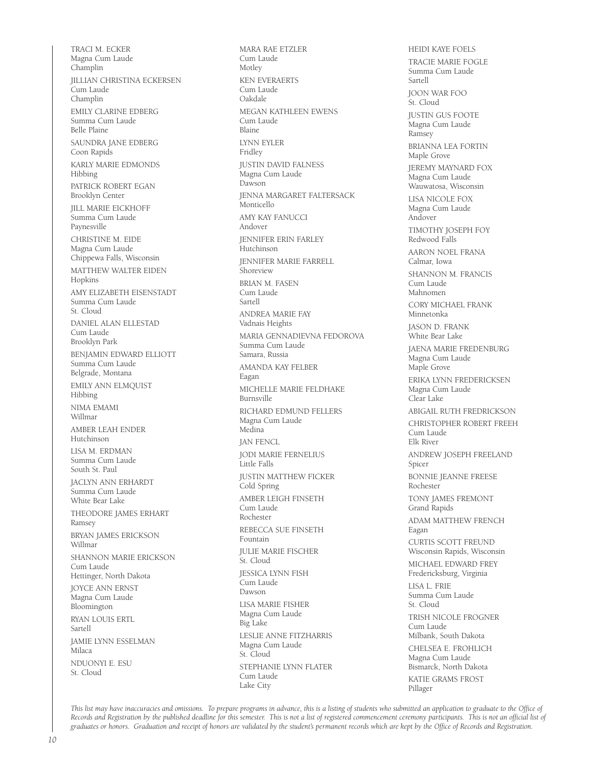TRACI M. ECKER Magna Cum Laude Champlin JILLIAN CHRISTINA ECKERSEN Cum Laude Champlin EMILY CLARINE EDBERG Summa Cum Laude Belle Plaine SAUNDRA JANE EDBERG Coon Rapids KARLY MARIE EDMONDS Hibbing PATRICK ROBERT EGAN Brooklyn Center JILL MARIE EICKHOFF Summa Cum Laude Paynesville CHRISTINE M. EIDE Magna Cum Laude Chippewa Falls, Wisconsin MATTHEW WALTER EIDEN Hopkins AMY ELIZABETH EISENSTADT Summa Cum Laude St. Cloud DANIEL ALAN ELLESTAD Cum Laude Brooklyn Park BENJAMIN EDWARD ELLIOTT Summa Cum Laude Belgrade, Montana EMILY ANN ELMQUIST Hibbing NIMA EMAMI Willmar AMBER LEAH ENDER Hutchinson LISA M. ERDMAN Summa Cum Laude South St. Paul JACLYN ANN ERHARDT Summa Cum Laude White Bear Lake THEODORE JAMES ERHART Ramsey BRYAN JAMES ERICKSON Willmar SHANNON MARIE ERICKSON Cum Laude Hettinger, North Dakota JOYCE ANN ERNST Magna Cum Laude Bloomington RYAN LOUIS ERTL Sartell JAMIE LYNN ESSELMAN Milaca NDUONYI E. ESU St. Cloud

MARA RAE ETZLER Cum Laude Motley KEN EVERAERTS Cum Laude Oakdale MEGAN KATHLEEN EWENS Cum Laude Blaine LYNN EYLER Fridley JUSTIN DAVID FALNESS Magna Cum Laude Dawson JENNA MARGARET FALTERSACK Monticello AMY KAY FANUCCI Andover JENNIFER ERIN FARLEY Hutchinson JENNIFER MARIE FARRELL Shoreview BRIAN M. FASEN Cum Laude Sartell ANDREA MARIE FAY Vadnais Heights MARIA GENNADIEVNA FEDOROVA Summa Cum Laude Samara, Russia AMANDA KAY FELBER Eagan MICHELLE MARIE FELDHAKE Burnsville RICHARD EDMUND FELLERS Magna Cum Laude Medina JAN FENCL JODI MARIE FERNELIUS Little Falls JUSTIN MATTHEW FICKER Cold Spring AMBER LEIGH FINSETH Cum Laude Rochester REBECCA SUE FINSETH Fountain JULIE MARIE FISCHER St. Cloud JESSICA LYNN FISH Cum Laude Dawson LISA MARIE FISHER Magna Cum Laude Big Lake LESLIE ANNE FITZHARRIS Magna Cum Laude St. Cloud STEPHANIE LYNN FLATER Cum Laude Lake City

HEIDI KAYE FOELS TRACIE MARIE FOGLE Summa Cum Laude Sartell JOON WAR FOO St. Cloud JUSTIN GUS FOOTE Magna Cum Laude Ramsey BRIANNA LEA FORTIN Maple Grove JEREMY MAYNARD FOX Magna Cum Laude Wauwatosa, Wisconsin LISA NICOLE FOX Magna Cum Laude Andover TIMOTHY JOSEPH FOY Redwood Falls AARON NOEL FRANA Calmar, Iowa SHANNON M. FRANCIS Cum Laude Mahnomen CORY MICHAEL FRANK Minnetonka JASON D. FRANK White Bear Lake JAENA MARIE FREDENBURG Magna Cum Laude Maple Grove ERIKA LYNN FREDERICKSEN Magna Cum Laude Clear Lake ABIGAIL RUTH FREDRICKSON CHRISTOPHER ROBERT FREEH Cum Laude Elk River ANDREW JOSEPH FREELAND Spicer BONNIE JEANNE FREESE Rochester TONY JAMES FREMONT Grand Rapids ADAM MATTHEW FRENCH Eagan CURTIS SCOTT FREUND Wisconsin Rapids, Wisconsin MICHAEL EDWARD FREY Fredericksburg, Virginia LISA L. FRIE Summa Cum Laude St. Cloud TRISH NICOLE FROGNER Cum Laude Milbank, South Dakota CHELSEA E. FROHLICH Magna Cum Laude Bismarck, North Dakota KATIE GRAMS FROST Pillager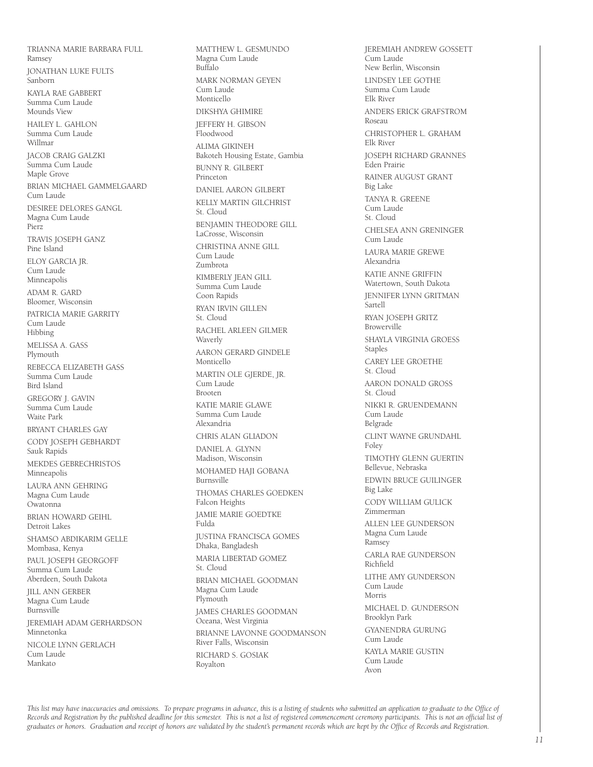TRIANNA MARIE BARBARA FULL Ramsey JONATHAN LUKE FULTS Sanborn KAYLA RAE GABBERT Summa Cum Laude Mounds View HAILEY L. GAHLON Summa Cum Laude Willmar JACOB CRAIG GALZKI .<br>Summa Cum Laude Maple Grove BRIAN MICHAEL GAMMELGAARD Cum Laude DESIREE DELORES GANGL Magna Cum Laude Pierz TRAVIS JOSEPH GANZ Pine Island ELOY GARCIA JR. Cum Laude Minneapolis ADAM R. GARD Bloomer, Wisconsin PATRICIA MARIE GARRITY Cum Laude Hibbing MELISSA A. GASS Plymouth REBECCA ELIZABETH GASS Summa Cum Laude Bird Island GREGORY J. GAVIN Summa Cum Laude Waite Park BRYANT CHARLES GAY CODY JOSEPH GEBHARDT Sauk Rapids MEKDES GEBRECHRISTOS Minneapolis LAURA ANN GEHRING Magna Cum Laude Owatonna BRIAN HOWARD GEIHL Detroit Lakes SHAMSO ABDIKARIM GELLE Mombasa, Kenya PAUL JOSEPH GEORGOFF Summa Cum Laude Aberdeen, South Dakota JILL ANN GERBER Magna Cum Laude Burnsville JEREMIAH ADAM GERHARDSON Minnetonka NICOLE LYNN GERLACH Cum Laude Mankato

MATTHEW L. GESMUNDO Magna Cum Laude Buffalo MARK NORMAN GEYEN Cum Laude Monticello DIKSHYA GHIMIRE JEFFERY H. GIBSON Floodwood ALIMA GIKINEH Bakoteh Housing Estate, Gambia BUNNY R. GILBERT Princeton DANIEL AARON GILBERT KELLY MARTIN GILCHRIST St. Cloud BENJAMIN THEODORE GILL LaCrosse, Wisconsin CHRISTINA ANNE GILL Cum Laude Zumbrota KIMBERLY JEAN GILL Summa Cum Laude Coon Rapids RYAN IRVIN GILLEN St. Cloud RACHEL ARLEEN GILMER Waverly AARON GERARD GINDELE Monticello MARTIN OLE GJERDE, JR. Cum Laude Brooten KATIE MARIE GLAWE Summa Cum Laude Alexandria CHRIS ALAN GLIADON DANIEL A. GLYNN Madison, Wisconsin MOHAMED HAJI GOBANA Burnsville THOMAS CHARLES GOEDKEN Falcon Heights JAMIE MARIE GOEDTKE Fulda JUSTINA FRANCISCA GOMES Dhaka, Bangladesh MARIA LIBERTAD GOMEZ St. Cloud BRIAN MICHAEL GOODMAN Magna Cum Laude Plymouth JAMES CHARLES GOODMAN Oceana, West Virginia BRIANNE LAVONNE GOODMANSON River Falls, Wisconsin RICHARD S. GOSIAK Royalton

JEREMIAH ANDREW GOSSETT Cum Laude New Berlin, Wisconsin LINDSEY LEE GOTHE Summa Cum Laude Elk River ANDERS ERICK GRAFSTROM Roseau CHRISTOPHER L. GRAHAM Elk River JOSEPH RICHARD GRANNES Eden Prairie RAINER AUGUST GRANT Big Lake TANYA R. GREENE Cum Laude St. Cloud CHELSEA ANN GRENINGER Cum Laude LAURA MARIE GREWE Alexandria KATIE ANNE GRIFFIN Watertown, South Dakota JENNIFER LYNN GRITMAN Sartell RYAN JOSEPH GRITZ Browerville SHAYLA VIRGINIA GROESS Staples CAREY LEE GROETHE St. Cloud AARON DONALD GROSS St. Cloud NIKKI R. GRUENDEMANN Cum Laude Belgrade CLINT WAYNE GRUNDAHL Foley TIMOTHY GLENN GUERTIN Bellevue, Nebraska EDWIN BRUCE GUILINGER Big Lake CODY WILLIAM GULICK Zimmerman ALLEN LEE GUNDERSON Magna Cum Laude Ramsey CARLA RAE GUNDERSON Richfield LITHE AMY GUNDERSON Cum Laude Morris MICHAEL D. GUNDERSON Brooklyn Park GYANENDRA GURUNG Cum Laude KAYLA MARIE GUSTIN Cum Laude Avon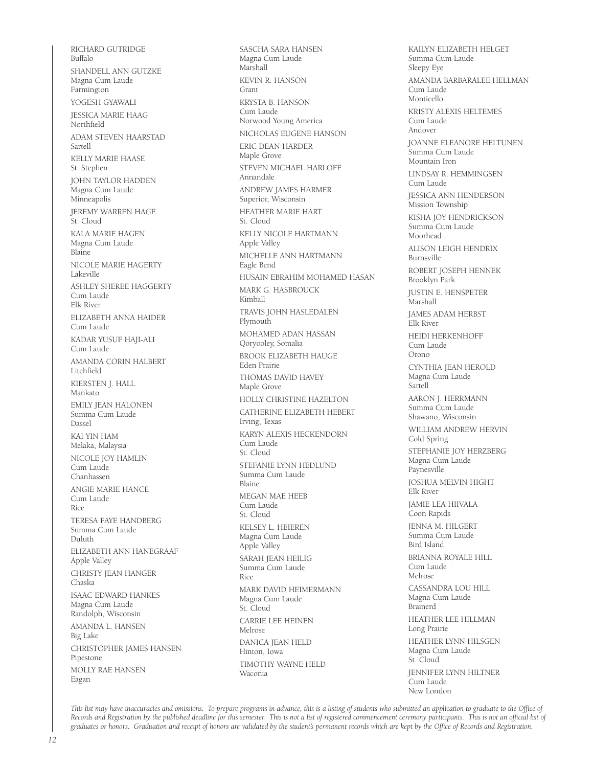RICHARD GUTRIDGE Buffalo SHANDELL ANN GUTZKE Magna Cum Laude Farmington YOGESH GYAWALI JESSICA MARIE HAAG Northfield ADAM STEVEN HAARSTAD Sartell KELLY MARIE HAASE St. Stephen JOHN TAYLOR HADDEN Magna Cum Laude Minneapolis JEREMY WARREN HAGE St. Cloud KALA MARIE HAGEN Magna Cum Laude Blaine NICOLE MARIE HAGERTY Lakeville ASHLEY SHEREE HAGGERTY Cum Laude Elk River ELIZABETH ANNA HAIDER Cum Laude KADAR YUSUF HAJI-ALI Cum Laude AMANDA CORIN HALBERT Litchfield KIERSTEN J. HALL Mankato EMILY JEAN HALONEN Summa Cum Laude Dassel KAI YIN HAM Melaka, Malaysia NICOLE JOY HAMLIN Cum Laude Chanhassen ANGIE MARIE HANCE Cum Laude Rice TERESA FAYE HANDBERG Summa Cum Laude Duluth ELIZABETH ANN HANEGRAAF Apple Valley CHRISTY JEAN HANGER Chaska ISAAC EDWARD HANKES Magna Cum Laude Randolph, Wisconsin AMANDA L. HANSEN Big Lake CHRISTOPHER JAMES HANSEN Pipestone MOLLY RAE HANSEN Eagan

SASCHA SARA HANSEN Magna Cum Laude Marshall KEVIN R. HANSON Grant KRYSTA B. HANSON Cum Laude Norwood Young America NICHOLAS EUGENE HANSON ERIC DEAN HARDER Maple Grove STEVEN MICHAEL HARLOFF Annandale ANDREW JAMES HARMER Superior, Wisconsin HEATHER MARIE HART St. Cloud KELLY NICOLE HARTMANN Apple Valley MICHELLE ANN HARTMANN Eagle Bend HUSAIN EBRAHIM MOHAMED HASAN MARK G. HASBROUCK Kimball TRAVIS JOHN HASLEDALEN Plymouth MOHAMED ADAN HASSAN Qoryooley, Somalia BROOK ELIZABETH HAUGE Eden Prairie THOMAS DAVID HAVEY Maple Grove HOLLY CHRISTINE HAZELTON CATHERINE ELIZABETH HEBERT Irving, Texas KARYN ALEXIS HECKENDORN Cum Laude St. Cloud STEFANIE LYNN HEDLUND Summa Cum Laude Blaine MEGAN MAE HEEB Cum Laude St. Cloud KELSEY L. HEIEREN Magna Cum Laude Apple Valley SARAH JEAN HEILIG Summa Cum Laude Rice MARK DAVID HEIMERMANN Magna Cum Laude St. Cloud CARRIE LEE HEINEN Melrose DANICA JEAN HELD Hinton, Iowa TIMOTHY WAYNE HELD Waconia

KAILYN ELIZABETH HELGET Summa Cum Laude Sleepy Eye AMANDA BARBARALEE HELLMAN Cum Laude Monticello KRISTY ALEXIS HELTEMES Cum Laude Andover JOANNE ELEANORE HELTUNEN Summa Cum Laude Mountain Iron LINDSAY R. HEMMINGSEN Cum Laude JESSICA ANN HENDERSON Mission Township KISHA JOY HENDRICKSON Summa Cum Laude Moorhead ALISON LEIGH HENDRIX Burnsville ROBERT JOSEPH HENNEK Brooklyn Park JUSTIN E. HENSPETER Marshall JAMES ADAM HERBST Elk River HEIDI HERKENHOFF Cum Laude Orono CYNTHIA JEAN HEROLD Magna Cum Laude Sartell AARON J. HERRMANN Summa Cum Laude Shawano, Wisconsin WILLIAM ANDREW HERVIN Cold Spring STEPHANIE JOY HERZBERG Magna Cum Laude Paynesville JOSHUA MELVIN HIGHT Elk River JAMIE LEA HIIVALA Coon Rapids JENNA M. HILGERT Summa Cum Laude Bird Island BRIANNA ROYALE HILL Cum Laude Melrose CASSANDRA LOU HILL Magna Cum Laude Brainerd HEATHER LEE HILLMAN Long Prairie HEATHER LYNN HILSGEN Magna Cum Laude St. Cloud JENNIFER LYNN HILTNER **Cum Laude** New London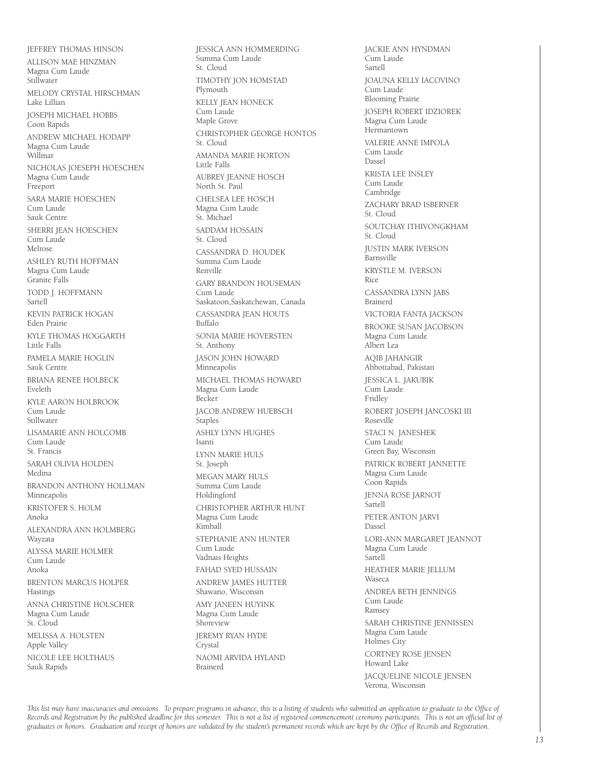JEFFREY THOMAS HINSON ALLISON MAE HINZMAN Magna Cum Laude Stillwater MELODY CRYSTAL HIRSCHMAN Lake Lillian JOSEPH MICHAEL HOBBS Coon Rapids ANDREW MICHAEL HODAPP Magna Cum Laude Willmar NICHOLAS JOESEPH HOESCHEN Magna Cum Laude Freeport SARA MARIE HOESCHEN Cum Laude Sauk Centre SHERRI JEAN HOESCHEN Cum Laude Melrose ASHLEY RUTH HOFFMAN Magna Cum Laude Granite Falls TODD J. HOFFMANN Sartell KEVIN PATRICK HOGAN Eden Prairie KYLE THOMAS HOGGARTH Little Falls PAMELA MARIE HOGLIN Sauk Centre BRIANA RENEE HOLBECK Eveleth KYLE AARON HOLBROOK Cum Laude Stillwater LISAMARIE ANN HOLCOMB Cum Laude St. Francis SARAH OLIVIA HOLDEN Medina BRANDON ANTHONY HOLLMAN Minneapolis KRISTOFER S. HOLM Anoka ALEXANDRA ANN HOLMBERG Wayzata ALYSSA MARIE HOLMER Cum Laude Anoka BRENTON MARCUS HOLPER Hastings ANNA CHRISTINE HOLSCHER Magna Cum Laude St. Cloud MELISSA A. HOLSTEN Apple Valley NICOLE LEE HOLTHAUS Sauk Rapids

JESSICA ANN HOMMERDING Summa Cum Laude St. Cloud TIMOTHY JON HOMSTAD Plymouth KELLY JEAN HONECK Cum Laude Maple Grove CHRISTOPHER GEORGE HONTOS St. Cloud AMANDA MARIE HORTON Little Falls AUBREY JEANNE HOSCH North St. Paul CHELSEA LEE HOSCH Magna Cum Laude St. Michael SADDAM HOSSAIN St. Cloud CASSANDRA D. HOUDEK Summa Cum Laude Renville GARY BRANDON HOUSEMAN Cum Laude Saskatoon,Saskatchewan, Canada CASSANDRA JEAN HOUTS Buffalo SONIA MARIE HOVERSTEN St. Anthony JASON JOHN HOWARD Minneapolis MICHAEL THOMAS HOWARD Magna Cum Laude Becker JACOB ANDREW HUEBSCH **Staples** ASHLY LYNN HUGHES Isanti LYNN MARIE HULS St. Joseph MEGAN MARY HULS Summa Cum Laude Holdingford CHRISTOPHER ARTHUR HUNT Magna Cum Laude Kimball STEPHANIE ANN HUNTER Cum Laude Vadnais Heights FAHAD SYED HUSSAIN ANDREW JAMES HUTTER Shawano, Wisconsin AMY JANEEN HUYINK Magna Cum Laude Shoreview JEREMY RYAN HYDE **Crystal** NAOMI ARVIDA HYLAND Brainerd

JACKIE ANN HYNDMAN Cum Laude Sartell JOAUNA KELLY IACOVINO .<br>Cum Laude Blooming Prairie JOSEPH ROBERT IDZIOREK Magna Cum Laude Hermantown VALERIE ANNE IMPOLA Cum Laude Dassel KRISTA LEE INSLEY Cum Laude Cambridge ZACHARY BRAD ISBERNER St. Cloud SOUTCHAY ITHIVONGKHAM St. Cloud JUSTIN MARK IVERSON Barnsville KRYSTLE M. IVERSON Rice CASSANDRA LYNN JABS Brainerd VICTORIA FANTA JACKSON BROOKE SUSAN JACOBSON Magna Cum Laude Albert Lea AQIB JAHANGIR Abbottabad, Pakistan JESSICA L. JAKUBIK .<br>Cum Laude Fridley ROBERT JOSEPH JANCOSKI III Roseville STACI N. JANESHEK Cum Laude Green Bay, Wisconsin PATRICK ROBERT JANNETTE Magna Cum Laude Coon Rapids JENNA ROSE JARNOT Sartell PETER ANTON JARVI Dassel LORI-ANN MARGARET JEANNOT Magna Cum Laude Sartell HEATHER MARIE JELLUM Waseca ANDREA BETH JENNINGS Cum Laude Ramsey SARAH CHRISTINE JENNISSEN Magna Cum Laude Holmes City CORTNEY ROSE JENSEN Howard Lake JACQUELINE NICOLE JENSEN Verona, Wisconsin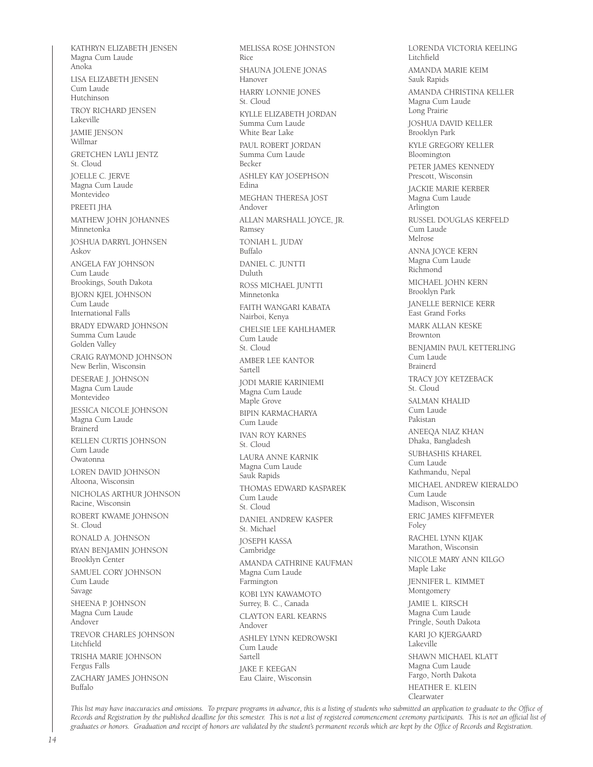KATHRYN ELIZABETH JENSEN Magna Cum Laude Anoka LISA ELIZABETH JENSEN Cum Laude Hutchinson TROY RICHARD JENSEN Lakeville JAMIE JENSON Willmar GRETCHEN LAYLI JENTZ St. Cloud JOELLE C. JERVE Magna Cum Laude Montevideo PREETI JHA MATHEW JOHN JOHANNES Minnetonka JOSHUA DARRYL JOHNSEN Askov ANGELA FAY JOHNSON Cum Laude Brookings, South Dakota BJORN KJEL JOHNSON Cum Laude International Falls BRADY EDWARD JOHNSON Summa Cum Laude Golden Valley CRAIG RAYMOND JOHNSON New Berlin, Wisconsin DESERAE J. JOHNSON Magna Cum Laude Montevideo JESSICA NICOLE JOHNSON Magna Cum Laude Brainerd KELLEN CURTIS JOHNSON Cum Laude Owatonna LOREN DAVID JOHNSON Altoona, Wisconsin NICHOLAS ARTHUR JOHNSON Racine, Wisconsin ROBERT KWAME JOHNSON St. Cloud RONALD A. JOHNSON RYAN BENJAMIN JOHNSON Brooklyn Center SAMUEL CORY JOHNSON Cum Laude Savage SHEENA P. JOHNSON Magna Cum Laude Andover TREVOR CHARLES JOHNSON Litchfield TRISHA MARIE JOHNSON Fergus Falls ZACHARY JAMES JOHNSON Buffalo

MELISSA ROSE JOHNSTON Rice SHAUNA JOLENE JONAS Hanover HARRY LONNIE JONES St. Cloud KYLLE ELIZABETH JORDAN Summa Cum Laude White Bear Lake PAUL ROBERT JORDAN Summa Cum Laude Becker ASHLEY KAY JOSEPHSON Edina MEGHAN THERESA JOST Andover ALLAN MARSHALL JOYCE, JR. Ramsey TONIAH L. JUDAY Buffalo DANIEL C. JUNTTI Duluth ROSS MICHAEL JUNTTI Minnetonka FAITH WANGARI KABATA Nairboi, Kenya CHELSIE LEE KAHLHAMER Cum Laude St. Cloud AMBER LEE KANTOR Sartell JODI MARIE KARINIEMI Magna Cum Laude Maple Grove BIPIN KARMACHARYA Cum Laude IVAN ROY KARNES St. Cloud LAURA ANNE KARNIK Magna Cum Laude Sauk Rapids THOMAS EDWARD KASPAREK Cum Laude St. Cloud DANIEL ANDREW KASPER St. Michael JOSEPH KASSA Cambridge AMANDA CATHRINE KAUFMAN Magna Cum Laude Farmington KOBI LYN KAWAMOTO Surrey, B. C., Canada CLAYTON EARL KEARNS Andover ASHLEY LYNN KEDROWSKI Cum Laude Sartell JAKE F. KEEGAN Eau Claire, Wisconsin

LORENDA VICTORIA KEELING Litchfield AMANDA MARIE KEIM Sauk Rapids AMANDA CHRISTINA KELLER Magna Cum Laude Long Prairie JOSHUA DAVID KELLER Brooklyn Park KYLE GREGORY KELLER Bloomington PETER JAMES KENNEDY Prescott, Wisconsin JACKIE MARIE KERBER Magna Cum Laude Arlington RUSSEL DOUGLAS KERFELD Cum Laude Melrose ANNA JOYCE KERN Magna Cum Laude Richmond MICHAEL JOHN KERN Brooklyn Park JANELLE BERNICE KERR East Grand Forks MARK ALLAN KESKE Brownton BENJAMIN PAUL KETTERLING Cum Laude Brainerd TRACY JOY KETZEBACK St. Cloud SALMAN KHALID Cum Laude Pakistan ANEEQA NIAZ KHAN Dhaka, Bangladesh SUBHASHIS KHAREL Cum Laude Kathmandu, Nepal MICHAEL ANDREW KIERALDO Cum Laude Madison, Wisconsin ERIC JAMES KIFFMEYER Foley RACHEL LYNN KIJAK Marathon, Wisconsin NICOLE MARY ANN KILGO Maple Lake JENNIFER L. KIMMET Montgomery JAMIE L. KIRSCH Magna Cum Laude Pringle, South Dakota KARI JO KJERGAARD Lakeville SHAWN MICHAEL KLATT Magna Cum Laude Fargo, North Dakota HEATHER E. KLEIN Clearwater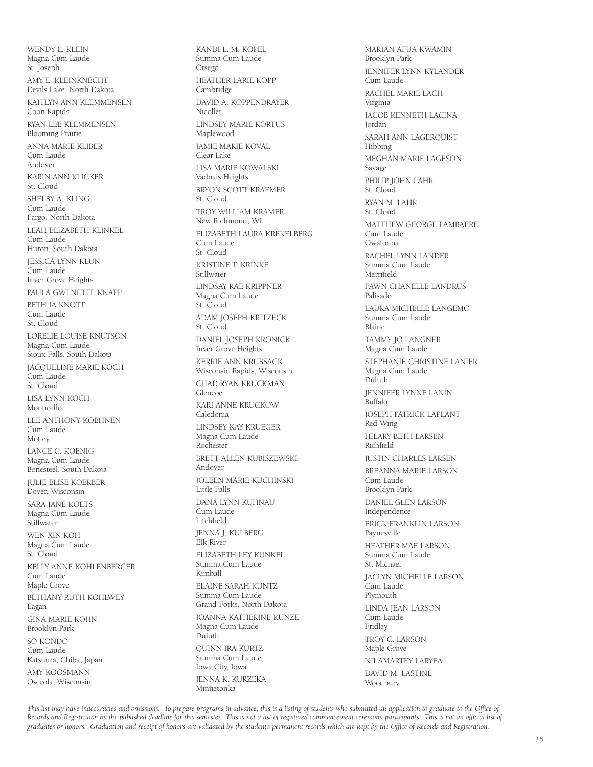WENDY L. KLEIN Magna Cum Laude St. Joseph AMY E. KLEINKNECHT Devils Lake, North Dakota KAITLYN ANN KLEMMENSEN Coon Rapids RYAN LEE KLEMMENSEN Blooming Prairie ANNA MARIE KLIBER Cum Laude Andover KARIN ANN KLICKER St. Cloud SHELBY A. KLING Cum Laude Fargo, North Dakota LEAH ELIZABETH KLINKEL Cum Laude Huron, South Dakota JESSICA LYNN KLUN Cum Laude Inver Grove Heights PAULA GWENETTE KNAPP BETH IA KNOTT Cum Laude St. Cloud LORELIE LOUISE KNUTSON Magna Cum Laude Sioux Falls, South Dakota JACQUELINE MARIE KOCH Cum Laude St. Cloud LISA LYNN KOCH Monticello LEE ANTHONY KOEHNEN Cum Laude Motley LANCE C. KOENIG Magna Cum Laude Bonesteel, South Dakota JULIE ELISE KOERBER Dover, Wisconsin SARA JANE KOETS Magna Cum Laude Stillwater WEN XIN KOH Magna Cum Laude St. Cloud KELLY ANNE KOHLENBERGER Cum Laude Maple Grove BETHANY RUTH KOHLWEY Eagan GINA MARIE KOHN Brooklyn Park SO KONDO Cum Laude Katsuura, Chiba, Japan AMY KOOSMANN Osceola, Wisconsin

KANDI L. M. KOPEL Summa Cum Laude Otsego HEATHER LARIE KOPP Cambridge DAVID A. KOPPENDRAYER Nicollet LINDSEY MARIE KORTUS Maplewood JAMIE MARIE KOVAL Clear Lake LISA MARIE KOWALSKI Vadnais Heights BRYON SCOTT KRAEMER St. Cloud TROY WILLIAM KRAMER New Richmond, WI ELIZABETH LAURA KREKELBERG Cum Laude St. Cloud KRISTINE T. KRINKE Stillwater LINDSAY RAE KRIPPNER Magna Cum Laude St. Cloud ADAM JOSEPH KRITZECK St. Cloud DANIEL JOSEPH KRONICK Inver Grove Heights KERRIE ANN KRUBSACK Wisconsin Rapids, Wisconsin CHAD RYAN KRUCKMAN Glencoe KARI ANNE KRUCKOW Caledonia LINDSEY KAY KRUEGER Magna Cum Laude Rochester BRETT ALLEN KUBISZEWSKI Andover JOLEEN MARIE KUCHINSKI Little Falls DANA LYNN KUHNAU Cum Laude Litchfield JENNA J. KULBERG Elk River ELIZABETH LEY KUNKEL Summa Cum Laude Kimball ELAINE SARAH KUNTZ Summa Cum Laude Grand Forks, North Dakota JOANNA KATHERINE KUNZE Magna Cum Laude Duluth QUINN IRA KURTZ Summa Cum Laude Iowa City, Iowa JENNA K. KURZEKA Minnetonka

MARIAN AFUA KWAMIN Brooklyn Park JENNIFER LYNN KYLANDER Cum Laude RACHEL MARIE LACH Virginia JACOB KENNETH LACINA Jordan SARAH ANN LAGERQUIST Hibbing MEGHAN MARIE LAGESON Savage PHILIP JOHN LAHR St. Cloud RYAN M. LAHR St. Cloud MATTHEW GEORGE LAMBAERE Cum Laude Owatonna RACHEL LYNN LANDER Summa Cum Laude Merrifield FAWN CHANELLE LANDRUS Palisade LAURA MICHELLE LANGEMO Summa Cum Laude Blaine TAMMY JO LANGNER Magna Cum Laude STEPHANIE CHRISTINE LANIER Magna Cum Laude Duluth JENNIFER LYNNE LANIN Buffalo JOSEPH PATRICK LAPLANT Red Wing HILARY BETH LARSEN Richfield JUSTIN CHARLES LARSEN BREANNA MARIE LARSON Cum Laude Brooklyn Park DANIEL GLEN LARSON Independence ERICK FRANKLIN LARSON Paynesville HEATHER MAE LARSON Summa Cum Laude St. Michael JACLYN MICHELLE LARSON Cum Laude Plymouth LINDA JEAN LARSON Cum Laude Fridley TROY C. LARSON Maple Grove NII AMARTEY LARYEA DAVID M. LASTINE Woodbury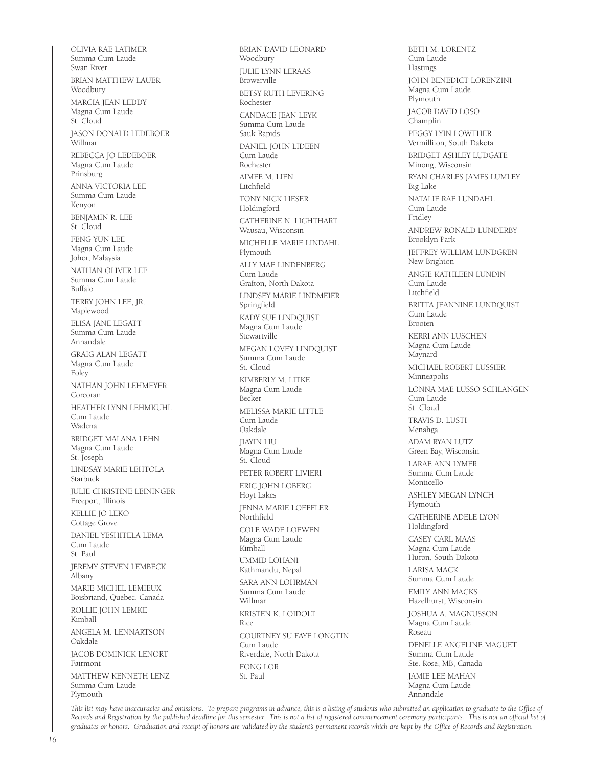OLIVIA RAE LATIMER Summa Cum Laude Swan River BRIAN MATTHEW LAUER Woodbury MARCIA JEAN LEDDY Magna Cum Laude St. Cloud JASON DONALD LEDEBOER Willmar REBECCA JO LEDEBOER Magna Cum Laude Prinsburg ANNA VICTORIA LEE Summa Cum Laude Kenyon BENJAMIN R. LEE St. Cloud FENG YUN LEE Magna Cum Laude Johor, Malaysia NATHAN OLIVER LEE Summa Cum Laude Buffalo TERRY JOHN LEE, JR. Maplewood ELISA JANE LEGATT Summa Cum Laude Annandale GRAIG ALAN LEGATT Magna Cum Laude Foley NATHAN JOHN LEHMEYER Corcoran HEATHER LYNN LEHMKUHL Cum Laude Wadena BRIDGET MALANA LEHN Magna Cum Laude St. Joseph LINDSAY MARIE LEHTOLA Starbuck JULIE CHRISTINE LEININGER Freeport, Illinois KELLIE JO LEKO Cottage Grove DANIEL YESHITELA LEMA Cum Laude St. Paul JEREMY STEVEN LEMBECK Albany MARIE-MICHEL LEMIEUX Boisbriand, Quebec, Canada ROLLIE JOHN LEMKE Kimball ANGELA M. LENNARTSON Oakdale JACOB DOMINICK LENORT Fairmont MATTHEW KENNETH LENZ Summa Cum Laude Plymouth

BRIAN DAVID LEONARD Woodbury JULIE LYNN LERAAS Browerville BETSY RUTH LEVERING Rochester CANDACE JEAN LEYK Summa Cum Laude Sauk Rapids DANIEL JOHN LIDEEN Cum Laude Rochester AIMEE M. LIEN Litchfield TONY NICK LIESER Holdingford CATHERINE N. LIGHTHART Wausau, Wisconsin MICHELLE MARIE LINDAHL Plymouth ALLY MAE LINDENBERG Cum Laude Grafton, North Dakota LINDSEY MARIE LINDMEIER Springfield KADY SUE LINDQUIST Magna Cum Laude **Stewartville** MEGAN LOVEY LINDQUIST Summa Cum Laude St. Cloud KIMBERLY M. LITKE Magna Cum Laude Becker MELISSA MARIE LITTLE Cum Laude Oakdale JIAYIN LIU Magna Cum Laude St. Cloud PETER ROBERT LIVIERI ERIC JOHN LOBERG Hoyt Lakes JENNA MARIE LOEFFLER Northfield COLE WADE LOEWEN Magna Cum Laude Kimball UMMID LOHANI Kathmandu, Nepal SARA ANN LOHRMAN Summa Cum Laude Willmar KRISTEN K. LOIDOLT Rice COURTNEY SU FAYE LONGTIN Cum Laude Riverdale, North Dakota FONG LOR St. Paul

BETH M. LORENTZ Cum Laude Hastings JOHN BENEDICT LORENZINI Magna Cum Laude Plymouth JACOB DAVID LOSO Champlin PEGGY LYIN LOWTHER Vermilliion, South Dakota BRIDGET ASHLEY LUDGATE Minong, Wisconsin RYAN CHARLES JAMES LUMLEY Big Lake NATALIE RAE LUNDAHL Cum Laude Fridley ANDREW RONALD LUNDERBY Brooklyn Park JEFFREY WILLIAM LUNDGREN New Brighton ANGIE KATHLEEN LUNDIN Cum Laude Litchfield BRITTA JEANNINE LUNDQUIST Cum Laude Brooten KERRI ANN LUSCHEN Magna Cum Laude Maynard MICHAEL ROBERT LUSSIER Minneapolis LONNA MAE LUSSO-SCHLANGEN Cum Laude St. Cloud TRAVIS D. LUSTI Menahga ADAM RYAN LUTZ Green Bay, Wisconsin LARAE ANN LYMER Summa Cum Laude Monticello ASHLEY MEGAN LYNCH Plymouth CATHERINE ADELE LYON Holdingford CASEY CARL MAAS Magna Cum Laude Huron, South Dakota LARISA MACK Summa Cum Laude EMILY ANN MACKS Hazelhurst, Wisconsin JOSHUA A. MAGNUSSON Magna Cum Laude Roseau DENELLE ANGELINE MAGUET Summa Cum Laude Ste. Rose, MB, Canada JAMIE LEE MAHAN Magna Cum Laude Annandale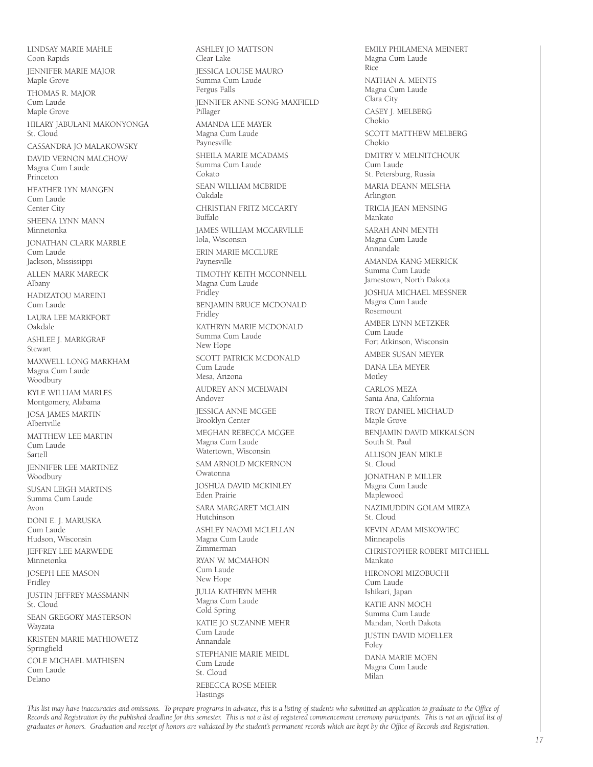LINDSAY MARIE MAHLE Coon Rapids JENNIFER MARIE MAJOR Maple Grove THOMAS R. MAJOR Cum Laude Maple Grove HILARY JABULANI MAKONYONGA St. Cloud CASSANDRA JO MALAKOWSKY DAVID VERNON MALCHOW Magna Cum Laude Princeton HEATHER LYN MANGEN Cum Laude Center City SHEENA LYNN MANN Minnetonka JONATHAN CLARK MARBLE Cum Laude Jackson, Mississippi ALLEN MARK MARECK Albany HADIZATOU MAREINI Cum Laude LAURA LEE MARKFORT Oakdale ASHLEE J. MARKGRAF Stewart MAXWELL LONG MARKHAM Magna Cum Laude Woodbury KYLE WILLIAM MARLES Montgomery, Alabama JOSA JAMES MARTIN Albertville MATTHEW LEE MARTIN Cum Laude Sartell JENNIFER LEE MARTINEZ Woodbury SUSAN LEIGH MARTINS Summa Cum Laude Avon DONI E. J. MARUSKA Cum Laude Hudson, Wisconsin JEFFREY LEE MARWEDE Minnetonka JOSEPH LEE MASON Fridley JUSTIN JEFFREY MASSMANN St. Cloud SEAN GREGORY MASTERSON Wayzata KRISTEN MARIE MATHIOWETZ Springfield COLE MICHAEL MATHISEN Cum Laude Delano

ASHLEY JO MATTSON Clear Lake JESSICA LOUISE MAURO Summa Cum Laude Fergus Falls JENNIFER ANNE-SONG MAXFIELD Pillager AMANDA LEE MAYER Magna Cum Laude Paynesville SHEILA MARIE MCADAMS Summa Cum Laude Cokato SEAN WILLIAM MCBRIDE Oakdale CHRISTIAN FRITZ MCCARTY Buffalo JAMES WILLIAM MCCARVILLE Iola, Wisconsin ERIN MARIE MCCLURE Paynesville TIMOTHY KEITH MCCONNELL Magna Cum Laude Fridley BENJAMIN BRUCE MCDONALD Fridley KATHRYN MARIE MCDONALD Summa Cum Laude New Hope SCOTT PATRICK MCDONALD Cum Laude Mesa, Arizona AUDREY ANN MCELWAIN Andover JESSICA ANNE MCGEE Brooklyn Center MEGHAN REBECCA MCGEE Magna Cum Laude Watertown, Wisconsin SAM ARNOLD MCKERNON Owatonna JOSHUA DAVID MCKINLEY Eden Prairie SARA MARGARET MCLAIN Hutchinson ASHLEY NAOMI MCLELLAN Magna Cum Laude Zimmerman RYAN W. MCMAHON Cum Laude New Hope JULIA KATHRYN MEHR Magna Cum Laude Cold Spring KATIE JO SUZANNE MEHR Cum Laude Annandale STEPHANIE MARIE MEIDL Cum Laude St. Cloud REBECCA ROSE MEIER Hastings

EMILY PHILAMENA MEINERT Magna Cum Laude Rice NATHAN A. MEINTS Magna Cum Laude Clara City CASEY J. MELBERG Chokio SCOTT MATTHEW MELBERG Chokio DMITRY V. MELNITCHOUK Cum Laude St. Petersburg, Russia MARIA DEANN MELSHA Arlington TRICIA JEAN MENSING Mankato SARAH ANN MENTH Magna Cum Laude Annandale AMANDA KANG MERRICK Summa Cum Laude Jamestown, North Dakota JOSHUA MICHAEL MESSNER Magna Cum Laude Rosemount AMBER LYNN METZKER Cum Laude Fort Atkinson, Wisconsin AMBER SUSAN MEYER DANA LEA MEYER Motley CARLOS MEZA Santa Ana, California TROY DANIEL MICHAUD Maple Grove BENJAMIN DAVID MIKKALSON South St. Paul ALLISON JEAN MIKLE St. Cloud JONATHAN P. MILLER Magna Cum Laude Maplewood NAZIMUDDIN GOLAM MIRZA St. Cloud KEVIN ADAM MISKOWIEC Minneapolis CHRISTOPHER ROBERT MITCHELL Mankato HIRONORI MIZOBUCHI Cum Laude Ishikari, Japan KATIE ANN MOCH Summa Cum Laude Mandan, North Dakota JUSTIN DAVID MOELLER **Foley** DANA MARIE MOEN Magna Cum Laude Milan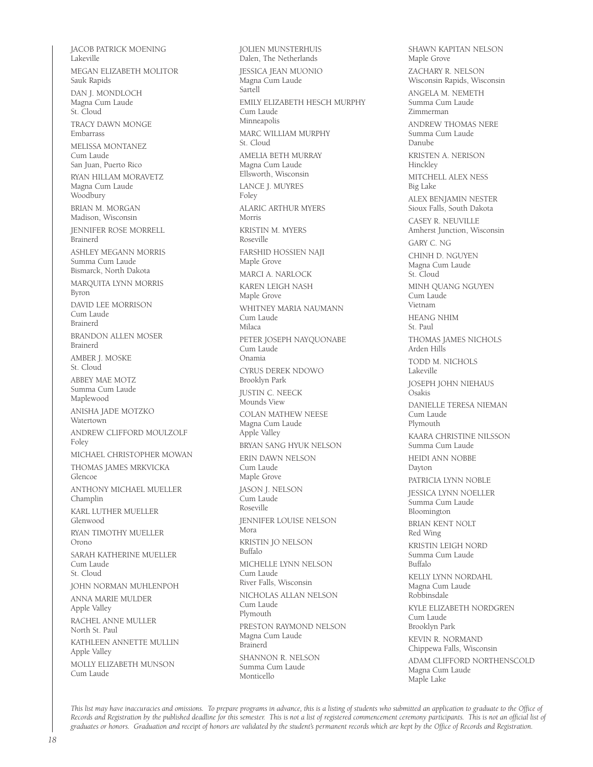JACOB PATRICK MOENING Lakeville MEGAN ELIZABETH MOLITOR Sauk Rapids DAN J. MONDLOCH Magna Cum Laude St. Cloud TRACY DAWN MONGE Embarrass MELISSA MONTANEZ Cum Laude San Juan, Puerto Rico RYAN HILLAM MORAVETZ Magna Cum Laude Woodbury BRIAN M. MORGAN Madison, Wisconsin JENNIFER ROSE MORRELL Brainerd ASHLEY MEGANN MORRIS Summa Cum Laude Bismarck, North Dakota MARQUITA LYNN MORRIS Byron DAVID LEE MORRISON Cum Laude Brainerd BRANDON ALLEN MOSER Brainerd AMBER J. MOSKE  $St. Cloud$ ABBEY MAE MOTZ Summa Cum Laude Maplewood ANISHA JADE MOTZKO Watertown ANDREW CLIFFORD MOULZOLF Foley MICHAEL CHRISTOPHER MOWAN THOMAS JAMES MRKVICKA Glencoe ANTHONY MICHAEL MUELLER Champlin KARL LUTHER MUELLER Glenwood RYAN TIMOTHY MUELLER Orono SARAH KATHERINE MUELLER Cum Laude St. Cloud JOHN NORMAN MUHLENPOH ANNA MARIE MULDER Apple Valley RACHEL ANNE MULLER North St. Paul KATHLEEN ANNETTE MULLIN Apple Valley MOLLY ELIZABETH MUNSON Cum Laude

JOLIEN MUNSTERHUIS Dalen, The Netherlands JESSICA JEAN MUONIO Magna Cum Laude Sartell EMILY ELIZABETH HESCH MURPHY Cum Laude Minneapolis MARC WILLIAM MURPHY St. Cloud AMELIA BETH MURRAY Magna Cum Laude Ellsworth, Wisconsin LANCE J. MUYRES Foley ALARIC ARTHUR MYERS Morris KRISTIN M. MYERS Roseville FARSHID HOSSIEN NAJI Maple Grove MARCI A. NARLOCK KAREN LEIGH NASH Maple Grove WHITNEY MARIA NAUMANN Cum Laude Milaca PETER JOSEPH NAYQUONABE Cum Laude Onamia CYRUS DEREK NDOWO Brooklyn Park JUSTIN C. NEECK Mounds View COLAN MATHEW NEESE Magna Cum Laude Apple Valley BRYAN SANG HYUK NELSON ERIN DAWN NELSON Cum Laude Maple Grove JASON J. NELSON Cum Laude Roseville JENNIFER LOUISE NELSON Mora KRISTIN JO NELSON Buffalo MICHELLE LYNN NELSON Cum Laude River Falls, Wisconsin NICHOLAS ALLAN NELSON Cum Laude Plymouth PRESTON RAYMOND NELSON Magna Cum Laude Brainerd SHANNON R. NELSON Summa Cum Laude Monticello

SHAWN KAPITAN NELSON Maple Grove ZACHARY R. NELSON Wisconsin Rapids, Wisconsin ANGELA M. NEMETH Summa Cum Laude Zimmerman ANDREW THOMAS NERE Summa Cum Laude Danube KRISTEN A. NERISON Hinckley MITCHELL ALEX NESS Big Lake ALEX BENJAMIN NESTER Sioux Falls, South Dakota CASEY R. NEUVILLE Amherst Junction, Wisconsin GARY C. NG CHINH D. NGUYEN Magna Cum Laude St. Cloud MINH QUANG NGUYEN Cum Laude Vietnam HEANG NHIM St. Paul THOMAS JAMES NICHOLS Arden Hills TODD M. NICHOLS Lakeville JOSEPH JOHN NIEHAUS Osakis DANIELLE TERESA NIEMAN Cum Laude Plymouth KAARA CHRISTINE NILSSON Summa Cum Laude HEIDI ANN NOBBE Dayton PATRICIA LYNN NOBLE JESSICA LYNN NOELLER Summa Cum Laude Bloomington BRIAN KENT NOLT Red Wing KRISTIN LEIGH NORD Summa Cum Laude Buffalo KELLY LYNN NORDAHL Magna Cum Laude Robbinsdale KYLE ELIZABETH NORDGREN Cum Laude Brooklyn Park KEVIN R. NORMAND Chippewa Falls, Wisconsin ADAM CLIFFORD NORTHENSCOLD Magna Cum Laude Maple Lake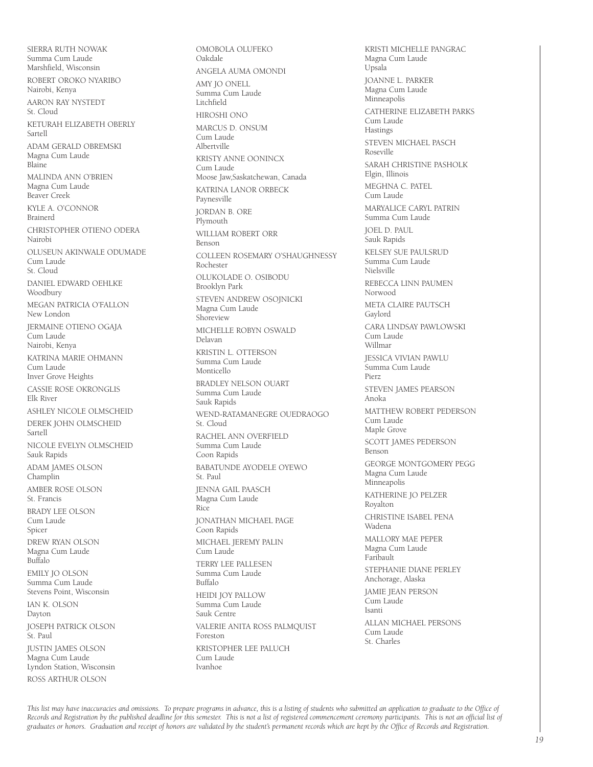SIERRA RUTH NOWAK Summa Cum Laude Marshfield, Wisconsin ROBERT OROKO NYARIBO Nairobi, Kenya AARON RAY NYSTEDT St. Cloud KETURAH ELIZABETH OBERLY Sartell ADAM GERALD OBREMSKI Magna Cum Laude Blaine MALINDA ANN O'BRIEN Magna Cum Laude Beaver Creek KYLE A. O'CONNOR Brainerd CHRISTOPHER OTIENO ODERA Nairobi OLUSEUN AKINWALE ODUMADE Cum Laude St. Cloud DANIEL EDWARD OEHLKE Woodbury MEGAN PATRICIA O'FALLON New London JERMAINE OTIENO OGAJA Cum Laude Nairobi, Kenya KATRINA MARIE OHMANN Cum Laude Inver Grove Heights CASSIE ROSE OKRONGLIS Elk River ASHLEY NICOLE OLMSCHEID DEREK JOHN OLMSCHEID Sartell NICOLE EVELYN OLMSCHEID Sauk Rapids ADAM JAMES OLSON Champlin AMBER ROSE OLSON St. Francis BRADY LEE OLSON Cum Laude Spicer DREW RYAN OLSON Magna Cum Laude Buffalo EMILY JO OLSON Summa Cum Laude Stevens Point, Wisconsin IAN K. OLSON Dayton JOSEPH PATRICK OLSON St. Paul JUSTIN JAMES OLSON Magna Cum Laude Lyndon Station, Wisconsin ROSS ARTHUR OLSON

OMOBOLA OLUFEKO Oakdale ANGELA AUMA OMONDI AMY JO ONELL Summa Cum Laude Litchfield HIROSHI ONO MARCUS D. ONSUM Cum Laude Albertville KRISTY ANNE OONINCX Cum Laude Moose Jaw,Saskatchewan, Canada KATRINA LANOR ORBECK Paynesville JORDAN B. ORE **Plymouth** WILLIAM ROBERT ORR Benson COLLEEN ROSEMARY O'SHAUGHNESSY Rochester OLUKOLADE O. OSIBODU Brooklyn Park STEVEN ANDREW OSOJNICKI Magna Cum Laude Shoreview MICHELLE ROBYN OSWALD Delavan KRISTIN L. OTTERSON Summa Cum Laude Monticello BRADLEY NELSON OUART Summa Cum Laude Sauk Rapids WEND-RATAMANEGRE OUEDRAOGO St. Cloud RACHEL ANN OVERFIELD Summa Cum Laude Coon Rapids BABATUNDE AYODELE OYEWO St. Paul JENNA GAIL PAASCH Magna Cum Laude Rice JONATHAN MICHAEL PAGE Coon Rapids MICHAEL JEREMY PALIN Cum Laude TERRY LEE PALLESEN Summa Cum Laude Buffalo HEIDI JOY PALLOW Summa Cum Laude Sauk Centre VALERIE ANITA ROSS PALMQUIST Foreston KRISTOPHER LEE PALUCH Cum Laude Ivanhoe

KRISTI MICHELLE PANGRAC Magna Cum Laude Upsala JOANNE L. PARKER Magna Cum Laude Minneapolis CATHERINE ELIZABETH PARKS Cum Laude Hastings STEVEN MICHAEL PASCH Roseville SARAH CHRISTINE PASHOLK Elgin, Illinois MEGHNA C. PATEL Cum Laude MARYALICE CARYL PATRIN Summa Cum Laude JOEL D. PAUL Sauk Rapids KELSEY SUE PAULSRUD Summa Cum Laude Nielsville REBECCA LINN PAUMEN Norwood META CLAIRE PAUTSCH Gaylord CARA LINDSAY PAWLOWSKI Cum Laude Willmar JESSICA VIVIAN PAWLU Summa Cum Laude Pierz STEVEN JAMES PEARSON Anoka MATTHEW ROBERT PEDERSON Cum Laude Maple Grove SCOTT JAMES PEDERSON Benson GEORGE MONTGOMERY PEGG Magna Cum Laude Minneapolis KATHERINE JO PELZER Royalton CHRISTINE ISABEL PENA Wadena MALLORY MAE PEPER Magna Cum Laude Faribault STEPHANIE DIANE PERLEY Anchorage, Alaska JAMIE JEAN PERSON Cum Laude Isanti ALLAN MICHAEL PERSONS Cum Laude St. Charles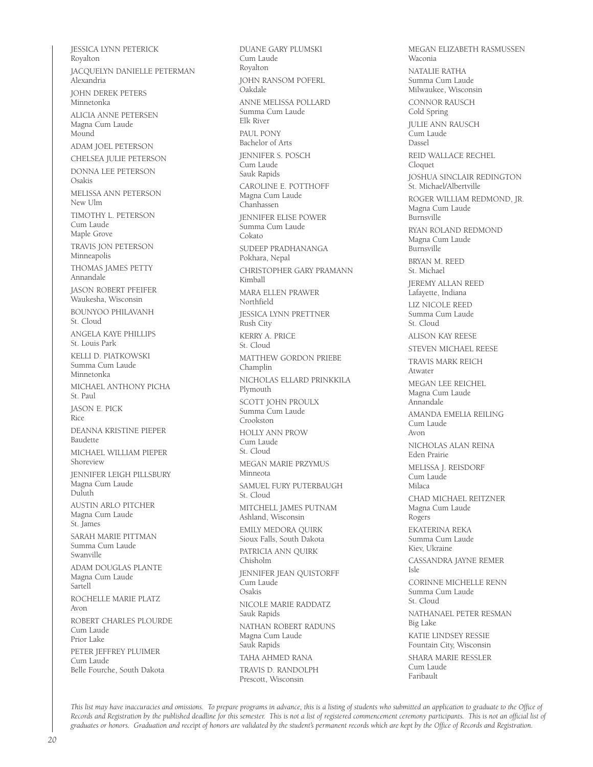JESSICA LYNN PETERICK Royalton JACQUELYN DANIELLE PETERMAN Alexandria JOHN DEREK PETERS Minnetonka ALICIA ANNE PETERSEN Magna Cum Laude Mound ADAM JOEL PETERSON CHELSEA JULIE PETERSON DONNA LEE PETERSON Osakis MELISSA ANN PETERSON New Ulm TIMOTHY L. PETERSON Cum Laude Maple Grove TRAVIS JON PETERSON Minneapolis THOMAS JAMES PETTY Annandale JASON ROBERT PFEIFER Waukesha, Wisconsin BOUNYOO PHILAVANH St. Cloud ANGELA KAYE PHILLIPS St. Louis Park KELLI D. PIATKOWSKI Summa Cum Laude Minnetonka MICHAEL ANTHONY PICHA St. Paul JASON E. PICK Rice DEANNA KRISTINE PIEPER Baudette MICHAEL WILLIAM PIEPER Shoreview JENNIFER LEIGH PILLSBURY Magna Cum Laude Duluth AUSTIN ARLO PITCHER Magna Cum Laude St. James SARAH MARIE PITTMAN Summa Cum Laude Swanville ADAM DOUGLAS PLANTE Magna Cum Laude Sartell ROCHELLE MARIE PLATZ Avon ROBERT CHARLES PLOURDE Cum Laude Prior Lake PETER JEFFREY PLUIMER Cum Laude Belle Fourche, South Dakota

DUANE GARY PLUMSKI Cum Laude Royalton JOHN RANSOM POFERL Oakdale ANNE MELISSA POLLARD Summa Cum Laude Elk River PAUL PONY Bachelor of Arts JENNIFER S. POSCH Cum Laude Sauk Rapids CAROLINE E. POTTHOFF Magna Cum Laude Chanhassen JENNIFER ELISE POWER Summa Cum Laude Cokato SUDEEP PRADHANANGA Pokhara, Nepal CHRISTOPHER GARY PRAMANN Kimball MARA ELLEN PRAWER Northfield JESSICA LYNN PRETTNER Rush City KERRY A. PRICE St. Cloud MATTHEW GORDON PRIEBE Champlin NICHOLAS ELLARD PRINKKILA Plymouth SCOTT JOHN PROULX Summa Cum Laude Crookston HOLLY ANN PROW Cum Laude St. Cloud MEGAN MARIE PRZYMUS Minneota SAMUEL FURY PUTERBAUGH St. Cloud MITCHELL JAMES PUTNAM Ashland, Wisconsin EMILY MEDORA QUIRK Sioux Falls, South Dakota PATRICIA ANN QUIRK Chisholm JENNIFER JEAN QUISTORFF Cum Laude Osakis NICOLE MARIE RADDATZ Sauk Rapids NATHAN ROBERT RADUNS Magna Cum Laude Sauk Rapids TAHA AHMED RANA TRAVIS D. RANDOLPH Prescott, Wisconsin

MEGAN ELIZABETH RASMUSSEN Waconia NATALIE RATHA Summa Cum Laude Milwaukee, Wisconsin CONNOR RAUSCH Cold Spring JULIE ANN RAUSCH .<br>Cum Laude Dassel REID WALLACE RECHEL Cloquet JOSHUA SINCLAIR REDINGTON St. Michael/Albertville ROGER WILLIAM REDMOND, JR. Magna Cum Laude Burnsville RYAN ROLAND REDMOND Magna Cum Laude Burnsville BRYAN M. REED St. Michael JEREMY ALLAN REED Lafayette, Indiana LIZ NICOLE REED Summa Cum Laude St. Cloud ALISON KAY REESE STEVEN MICHAEL REESE TRAVIS MARK REICH Atwater MEGAN LEE REICHEL Magna Cum Laude Annandale AMANDA EMELIA REILING Cum Laude Avon NICHOLAS ALAN REINA Eden Prairie MELISSA J. REISDORF Cum Laude Milaca CHAD MICHAEL REITZNER Magna Cum Laude Rogers EKATERINA REKA Summa Cum Laude Kiev, Ukraine CASSANDRA JAYNE REMER  $I \subset I$ CORINNE MICHELLE RENN Summa Cum Laude St. Cloud NATHANAEL PETER RESMAN Big Lake KATIE LINDSEY RESSIE Fountain City, Wisconsin SHARA MARIE RESSLER Cum Laude Faribault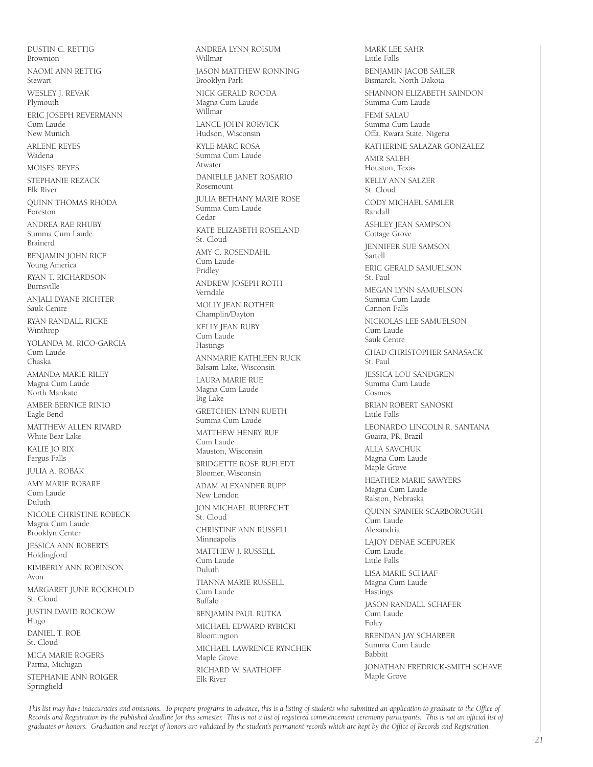DUSTIN C. RETTIG Brownton NAOMI ANN RETTIG Stewart WESLEY J. REVAK Plymouth ERIC JOSEPH REVERMANN Cum Laude New Munich ARLENE REYES Wadena MOISES REYES STEPHANIE REZACK Elk River QUINN THOMAS RHODA Foreston ANDREA RAE RHUBY Summa Cum Laude Brainerd BENJAMIN JOHN RICE Young America RYAN T. RICHARDSON Burnsville ANJALI DYANE RICHTER Sauk Centre RYAN RANDALL RICKE Winthrop YOLANDA M. RICO-GARCIA Cum Laude Chaska AMANDA MARIE RILEY Magna Cum Laude North Mankato AMBER BERNICE RINIO Eagle Bend MATTHEW ALLEN RIVARD White Bear Lake KALIE JO RIX Fergus Falls JULIA A. ROBAK AMY MARIE ROBARE Cum Laude Duluth NICOLE CHRISTINE ROBECK Magna Cum Laude Brooklyn Center JESSICA ANN ROBERTS Holdingford KIMBERLY ANN ROBINSON Avon MARGARET JUNE ROCKHOLD St. Cloud JUSTIN DAVID ROCKOW Hugo DANIEL T. ROE St. Cloud MICA MARIE ROGERS Parma, Michigan STEPHANIE ANN ROIGER Springfield

ANDREA LYNN ROISUM Willmar JASON MATTHEW RONNING Brooklyn Park NICK GERALD ROODA Magna Cum Laude Willmar LANCE JOHN RORVICK Hudson, Wisconsin KYLE MARC ROSA Summa Cum Laude Atwater DANIELLE JANET ROSARIO Rosemount JULIA BETHANY MARIE ROSE Summa Cum Laude Cedar KATE ELIZABETH ROSELAND St. Cloud AMY C. ROSENDAHL Cum Laude Fridley ANDREW JOSEPH ROTH Verndale MOLLY JEAN ROTHER Champlin/Dayton KELLY JEAN RUBY Cum Laude Hastings ANNMARIE KATHLEEN RUCK Balsam Lake, Wisconsin LAURA MARIE RUE Magna Cum Laude Big Lake GRETCHEN LYNN RUETH Summa Cum Laude MATTHEW HENRY RUF Cum Laude Mauston, Wisconsin BRIDGETTE ROSE RUFLEDT Bloomer, Wisconsin ADAM ALEXANDER RUPP New London JON MICHAEL RUPRECHT St. Cloud CHRISTINE ANN RUSSELL Minneapolis MATTHEW J. RUSSELL Cum Laude Duluth TIANNA MARIE RUSSELL Cum Laude Buffalo BENJAMIN PAUL RUTKA MICHAEL EDWARD RYBICKI Bloomington MICHAEL LAWRENCE RYNCHEK Maple Grove RICHARD W. SAATHOFF Elk River

MARK LEE SAHR Little Falls BENJAMIN JACOB SAILER Bismarck, North Dakota SHANNON ELIZABETH SAINDON Summa Cum Laude FEMI SALAU Summa Cum Laude Offa, Kwara State, Nigeria KATHERINE SALAZAR GONZALEZ AMIR SALEH Houston, Texas KELLY ANN SALZER St. Cloud CODY MICHAEL SAMLER Randall ASHLEY JEAN SAMPSON Cottage Grove JENNIFER SUE SAMSON Sartell ERIC GERALD SAMUELSON St. Paul MEGAN LYNN SAMUELSON Summa Cum Laude Cannon Falls NICKOLAS LEE SAMUELSON Cum Laude Sauk Centre CHAD CHRISTOPHER SANASACK St. Paul JESSICA LOU SANDGREN Summa Cum Laude Cosmos BRIAN ROBERT SANOSKI Little Falls LEONARDO LINCOLN R. SANTANA Guaira, PR, Brazil ALLA SAVCHUK Magna Cum Laude Maple Grove HEATHER MARIE SAWYERS Magna Cum Laude Ralston, Nebraska QUINN SPANIER SCARBOROUGH Cum Laude Alexandria LAJOY DENAE SCEPUREK Cum Laude Little Falls LISA MARIE SCHAAF Magna Cum Laude Hastings JASON RANDALL SCHAFER Cum Laude Foley BRENDAN JAY SCHARBER Summa Cum Laude Babbitt JONATHAN FREDRICK-SMITH SCHAVE Maple Grove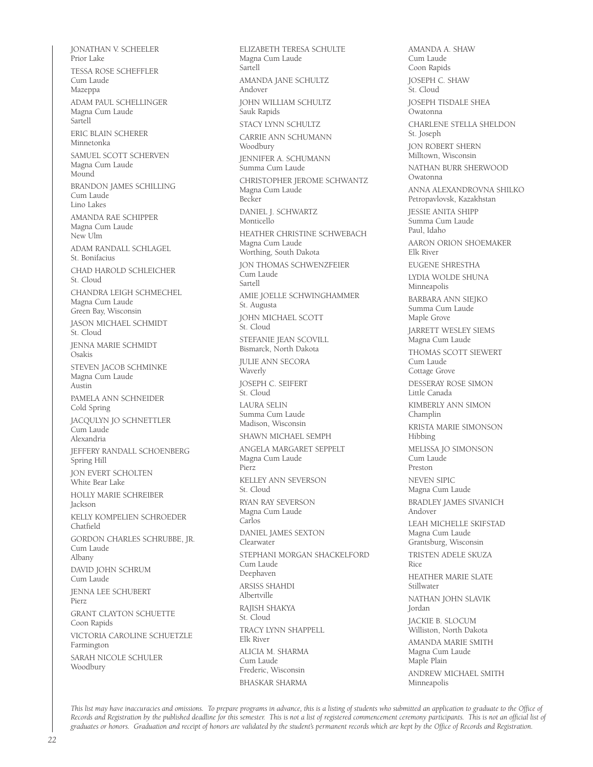JONATHAN V. SCHEELER Prior Lake TESSA ROSE SCHEFFLER Cum Laude Mazeppa ADAM PAUL SCHELLINGER Magna Cum Laude Sartell ERIC BLAIN SCHERER Minnetonka SAMUEL SCOTT SCHERVEN Magna Cum Laude Mound BRANDON JAMES SCHILLING Cum Laude Lino Lakes AMANDA RAE SCHIPPER Magna Cum Laude New Ulm ADAM RANDALL SCHLAGEL St. Bonifacius CHAD HAROLD SCHLEICHER St. Cloud CHANDRA LEIGH SCHMECHEL Magna Cum Laude Green Bay, Wisconsin JASON MICHAEL SCHMIDT St. Cloud JENNA MARIE SCHMIDT Osakis STEVEN JACOB SCHMINKE Magna Cum Laude Austin PAMELA ANN SCHNEIDER Cold Spring JACQULYN JO SCHNETTLER Cum Laude Alexandria JEFFERY RANDALL SCHOENBERG Spring Hill JON EVERT SCHOLTEN White Bear Lake HOLLY MARIE SCHREIBER Jackson KELLY KOMPELIEN SCHROEDER Chatfield GORDON CHARLES SCHRUBBE, JR. Cum Laude Albany DAVID JOHN SCHRUM Cum Laude JENNA LEE SCHUBERT Pierz GRANT CLAYTON SCHUETTE Coon Rapids VICTORIA CAROLINE SCHUETZLE Farmington SARAH NICOLE SCHULER Woodbury

ELIZABETH TERESA SCHULTE Magna Cum Laude Sartell AMANDA JANE SCHULTZ Andover JOHN WILLIAM SCHULTZ Sauk Rapids STACY LYNN SCHULTZ CARRIE ANN SCHUMANN Woodbury JENNIFER A. SCHUMANN Summa Cum Laude CHRISTOPHER JEROME SCHWANTZ Magna Cum Laude Becker DANIEL J. SCHWARTZ Monticello HEATHER CHRISTINE SCHWEBACH Magna Cum Laude Worthing, South Dakota JON THOMAS SCHWENZFEIER Cum Laude Sartell AMIE JOELLE SCHWINGHAMMER St. Augusta JOHN MICHAEL SCOTT St. Cloud STEFANIE JEAN SCOVILL Bismarck, North Dakota JULIE ANN SECORA Waverly JOSEPH C. SEIFERT St. Cloud LAURA SELIN Summa Cum Laude Madison, Wisconsin SHAWN MICHAEL SEMPH ANGELA MARGARET SEPPELT Magna Cum Laude Pierz KELLEY ANN SEVERSON St. Cloud RYAN RAY SEVERSON Magna Cum Laude Carlos DANIEL JAMES SEXTON Clearwater STEPHANI MORGAN SHACKELFORD Cum Laude Deephaven ARSISS SHAHDI Albertville RAJISH SHAKYA St. Cloud TRACY LYNN SHAPPELL Elk River ALICIA M. SHARMA Cum Laude Frederic, Wisconsin BHASKAR SHARMA

AMANDA A. SHAW Cum Laude Coon Rapids JOSEPH C. SHAW St. Cloud JOSEPH TISDALE SHEA Owatonna CHARLENE STELLA SHELDON St. Joseph JON ROBERT SHERN Milltown, Wisconsin NATHAN BURR SHERWOOD Owatonna ANNA ALEXANDROVNA SHILKO Petropavlovsk, Kazakhstan JESSIE ANITA SHIPP Summa Cum Laude Paul, Idaho AARON ORION SHOEMAKER Elk River EUGENE SHRESTHA LYDIA WOLDE SHUNA Minneapolis BARBARA ANN SIEJKO Summa Cum Laude Maple Grove JARRETT WESLEY SIEMS Magna Cum Laude THOMAS SCOTT SIEWERT Cum Laude Cottage Grove DESSERAY ROSE SIMON Little Canada KIMBERLY ANN SIMON Champlin KRISTA MARIE SIMONSON Hibbing MELISSA JO SIMONSON Cum Laude Preston NEVEN SIPIC Magna Cum Laude BRADLEY JAMES SIVANICH Andover LEAH MICHELLE SKIFSTAD Magna Cum Laude Grantsburg, Wisconsin TRISTEN ADELE SKUZA Rice HEATHER MARIE SLATE Stillwater NATHAN JOHN SLAVIK Jordan JACKIE B. SLOCUM Williston, North Dakota AMANDA MARIE SMITH Magna Cum Laude Maple Plain ANDREW MICHAEL SMITH Minneapolis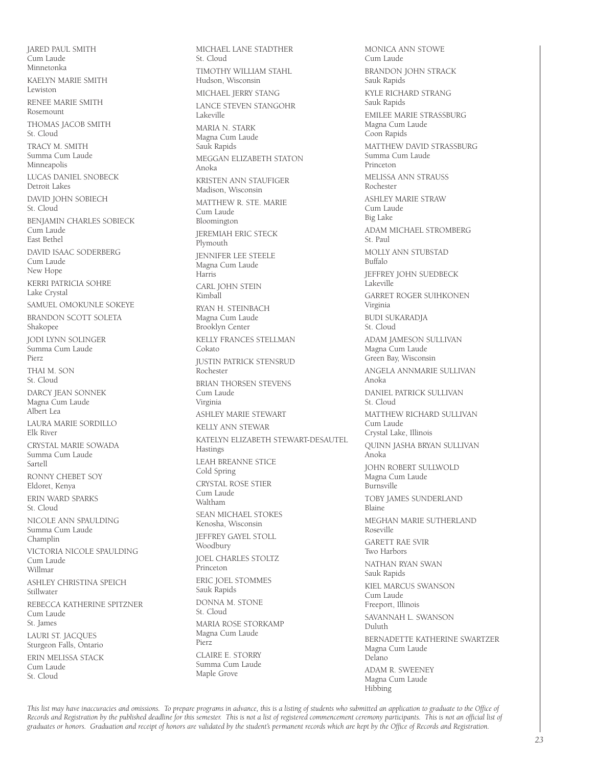JARED PAUL SMITH Cum Laude Minnetonka KAELYN MARIE SMITH Lewiston RENEE MARIE SMITH Rosemount THOMAS JACOB SMITH St. Cloud TRACY M. SMITH Summa Cum Laude Minneapolis LUCAS DANIEL SNOBECK Detroit Lakes DAVID JOHN SOBIECH St. Cloud BENJAMIN CHARLES SOBIECK Cum Laude East Bethel DAVID ISAAC SODERBERG Cum Laude New Hope KERRI PATRICIA SOHRE Lake Crystal SAMUEL OMOKUNLE SOKEYE BRANDON SCOTT SOLETA Shakopee JODI LYNN SOLINGER Summa Cum Laude Pierz THAI M. SON St. Cloud DARCY JEAN SONNEK Magna Cum Laude Albert Lea LAURA MARIE SORDILLO Elk River CRYSTAL MARIE SOWADA Summa Cum Laude Sartell RONNY CHEBET SOY Eldoret, Kenya ERIN WARD SPARKS St. Cloud NICOLE ANN SPAULDING Summa Cum Laude Champlin VICTORIA NICOLE SPAULDING Cum Laude Willmar ASHLEY CHRISTINA SPEICH Stillwater REBECCA KATHERINE SPITZNER Cum Laude St. James LAURI ST. JACQUES Sturgeon Falls, Ontario ERIN MELISSA STACK Cum Laude St. Cloud

MICHAEL LANE STADTHER St. Cloud TIMOTHY WILLIAM STAHL Hudson, Wisconsin MICHAEL JERRY STANG LANCE STEVEN STANGOHR Lakeville MARIA N. STARK Magna Cum Laude Sauk Rapids MEGGAN ELIZABETH STATON Anoka KRISTEN ANN STAUFIGER Madison, Wisconsin MATTHEW R. STE. MARIE Cum Laude Bloomington JEREMIAH ERIC STECK Plymouth JENNIFER LEE STEELE Magna Cum Laude Harris CARL JOHN STEIN Kimball RYAN H. STEINBACH Magna Cum Laude Brooklyn Center KELLY FRANCES STELLMAN Cokato JUSTIN PATRICK STENSRUD Rochester BRIAN THORSEN STEVENS Cum Laude Virginia ASHLEY MARIE STEWART KELLY ANN STEWAR KATELYN ELIZABETH STEWART-DESAUTEL Hastings LEAH BREANNE STICE Cold Spring CRYSTAL ROSE STIER Cum Laude Waltham SEAN MICHAEL STOKES Kenosha, Wisconsin JEFFREY GAYEL STOLL **Woodbury** JOEL CHARLES STOLTZ Princeton ERIC JOEL STOMMES Sauk Rapids DONNA M. STONE St. Cloud MARIA ROSE STORKAMP Magna Cum Laude Pierz CLAIRE E. STORRY Summa Cum Laude Maple Grove

MONICA ANN STOWE Cum Laude BRANDON JOHN STRACK Sauk Rapids KYLE RICHARD STRANG Sauk Rapids EMILEE MARIE STRASSBURG Magna Cum Laude Coon Rapids MATTHEW DAVID STRASSBURG Summa Cum Laude Princeton MELISSA ANN STRAUSS Rochester ASHLEY MARIE STRAW Cum Laude Big Lake ADAM MICHAEL STROMBERG St. Paul MOLLY ANN STUBSTAD Buffalo JEFFREY JOHN SUEDBECK Lakeville GARRET ROGER SUIHKONEN Virginia BUDI SUKARADJA St. Cloud ADAM JAMESON SULLIVAN Magna Cum Laude Green Bay, Wisconsin ANGELA ANNMARIE SULLIVAN Anoka DANIEL PATRICK SULLIVAN St. Cloud MATTHEW RICHARD SULLIVAN Cum Laude Crystal Lake, Illinois QUINN JASHA BRYAN SULLIVAN Anoka JOHN ROBERT SULLWOLD Magna Cum Laude Burnsville TOBY JAMES SUNDERLAND Blaine MEGHAN MARIE SUTHERLAND Roseville GARETT RAE SVIR Two Harbors NATHAN RYAN SWAN Sauk Rapids KIEL MARCUS SWANSON Cum Laude Freeport, Illinois SAVANNAH L. SWANSON Duluth BERNADETTE KATHERINE SWARTZER Magna Cum Laude Delano ADAM R. SWEENEY Magna Cum Laude Hibbing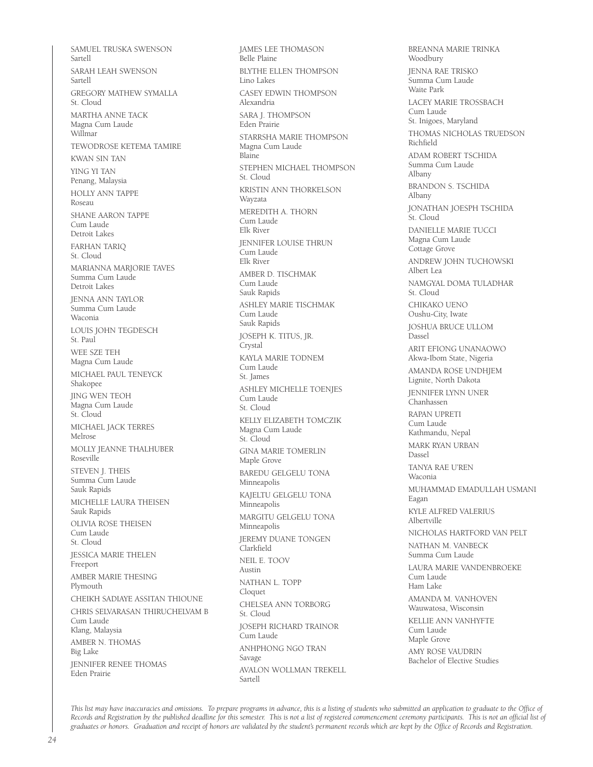SAMUEL TRUSKA SWENSON Sartell SARAH LEAH SWENSON Sartell GREGORY MATHEW SYMALLA St. Cloud MARTHA ANNE TACK Magna Cum Laude Willmar TEWODROSE KETEMA TAMIRE KWAN SIN TAN YING YI TAN Penang, Malaysia HOLLY ANN TAPPE Roseau SHANE AARON TAPPE Cum Laude Detroit Lakes FARHAN TARIQ St. Cloud MARIANNA MARJORIE TAVES Summa Cum Laude Detroit Lakes JENNA ANN TAYLOR Summa Cum Laude Waconia LOUIS JOHN TEGDESCH St. Paul WEE SZE TEH Magna Cum Laude MICHAEL PAUL TENEYCK Shakopee JING WEN TEOH Magna Cum Laude St. Cloud MICHAEL JACK TERRES Melrose MOLLY JEANNE THALHUBER Roseville STEVEN I. THEIS Summa Cum Laude Sauk Rapids MICHELLE LAURA THEISEN Sauk Rapids OLIVIA ROSE THEISEN Cum Laude St. Cloud JESSICA MARIE THELEN Freeport AMBER MARIE THESING Plymouth CHEIKH SADIAYE ASSITAN THIOUNE CHRIS SELVARASAN THIRUCHELVAM B Cum Laude Klang, Malaysia AMBER N. THOMAS Big Lake JENNIFER RENEE THOMAS Eden Prairie

JAMES LEE THOMASON Belle Plaine BLYTHE ELLEN THOMPSON Lino Lakes CASEY EDWIN THOMPSON Alexandria SARA I. THOMPSON Eden Prairie STARRSHA MARIE THOMPSON Magna Cum Laude Blaine STEPHEN MICHAEL THOMPSON St. Cloud KRISTIN ANN THORKELSON Wayzata MEREDITH A. THORN Cum Laude Elk River JENNIFER LOUISE THRUN Cum Laude Elk River AMBER D. TISCHMAK Cum Laude Sauk Rapids ASHLEY MARIE TISCHMAK Cum Laude Sauk Rapids JOSEPH K. TITUS, JR. **Crystal** KAYLA MARIE TODNEM Cum Laude St. James ASHLEY MICHELLE TOENJES Cum Laude St. Cloud KELLY ELIZABETH TOMCZIK Magna Cum Laude St. Cloud GINA MARIE TOMERLIN Maple Grove BAREDU GELGELU TONA Minneapolis KAJELTU GELGELU TONA Minneapolis MARGITU GELGELU TONA Minneapolis JEREMY DUANE TONGEN Clarkfield NEIL E. TOOV Austin NATHAN L. TOPP Cloquet CHELSEA ANN TORBORG St. Cloud JOSEPH RICHARD TRAINOR Cum Laude ANHPHONG NGO TRAN Savage AVALON WOLLMAN TREKELL Sartell

BREANNA MARIE TRINKA Woodbury JENNA RAE TRISKO Summa Cum Laude Waite Park LACEY MARIE TROSSBACH Cum Laude St. Inigoes, Maryland THOMAS NICHOLAS TRUEDSON Richfield ADAM ROBERT TSCHIDA Summa Cum Laude Albany BRANDON S. TSCHIDA Albany JONATHAN JOESPH TSCHIDA St. Cloud DANIELLE MARIE TUCCI Magna Cum Laude Cottage Grove ANDREW JOHN TUCHOWSKI Albert Lea NAMGYAL DOMA TULADHAR St. Cloud CHIKAKO UENO Oushu-City, Iwate JOSHUA BRUCE ULLOM Dassel ARIT EFIONG UNANAOWO Akwa-Ibom State, Nigeria AMANDA ROSE UNDHJEM Lignite, North Dakota JENNIFER LYNN UNER Chanhassen RAPAN UPRETI Cum Laude Kathmandu, Nepal MARK RYAN URBAN Dassel TANYA RAE U'REN Waconia MUHAMMAD EMADULLAH USMANI Eagan KYLE ALFRED VALERIUS Albertville NICHOLAS HARTFORD VAN PELT NATHAN M. VANBECK Summa Cum Laude LAURA MARIE VANDENBROEKE Cum Laude Ham Lake AMANDA M. VANHOVEN Wauwatosa, Wisconsin KELLIE ANN VANHYFTE Cum Laude Maple Grove AMY ROSE VAUDRIN Bachelor of Elective Studies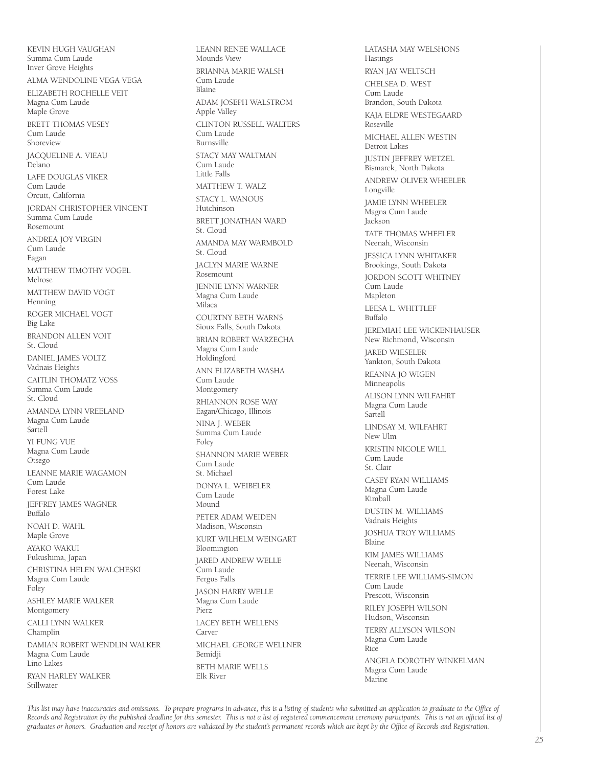KEVIN HUGH VAUGHAN Summa Cum Laude Inver Grove Heights ALMA WENDOLINE VEGA VEGA ELIZABETH ROCHELLE VEIT Magna Cum Laude Maple Grove BRETT THOMAS VESEY Cum Laude Shoreview JACQUELINE A. VIEAU .<br>Delano LAFE DOUGLAS VIKER Cum Laude Orcutt, California JORDAN CHRISTOPHER VINCENT Summa Cum Laude Rosemount ANDREA JOY VIRGIN Cum Laude Eagan MATTHEW TIMOTHY VOGEL Melrose MATTHEW DAVID VOGT Henning ROGER MICHAEL VOGT Big Lake BRANDON ALLEN VOIT St. Cloud DANIEL JAMES VOLTZ Vadnais Heights CAITLIN THOMATZ VOSS Summa Cum Laude St. Cloud AMANDA LYNN VREELAND Magna Cum Laude Sartell YI FUNG VUE Magna Cum Laude Otsego LEANNE MARIE WAGAMON Cum Laude Forest Lake JEFFREY JAMES WAGNER Buffalo NOAH D. WAHL Maple Grove AYAKO WAKUI Fukushima, Japan CHRISTINA HELEN WALCHESKI Magna Cum Laude Foley ASHLEY MARIE WALKER Montgomery CALLI LYNN WALKER Champlin DAMIAN ROBERT WENDLIN WALKER Magna Cum Laude Lino Lakes RYAN HARLEY WALKER Stillwater

LEANN RENEE WALLACE Mounds View BRIANNA MARIE WALSH Cum Laude Blaine ADAM JOSEPH WALSTROM Apple Valley CLINTON RUSSELL WALTERS Cum Laude Burnsville STACY MAY WALTMAN Cum Laude Little Falls MATTHEW T. WALZ STACY L. WANOUS Hutchinson BRETT JONATHAN WARD St. Cloud AMANDA MAY WARMBOLD St. Cloud JACLYN MARIE WARNE Rosemount JENNIE LYNN WARNER Magna Cum Laude Milaca COURTNY BETH WARNS Sioux Falls, South Dakota BRIAN ROBERT WARZECHA Magna Cum Laude Holdingford ANN ELIZABETH WASHA Cum Laude Montgomery RHIANNON ROSE WAY Eagan/Chicago, Illinois NINA J. WEBER Summa Cum Laude Foley SHANNON MARIE WEBER Cum Laude St. Michael DONYA L. WEIBELER Cum Laude Mound PETER ADAM WEIDEN Madison, Wisconsin KURT WILHELM WEINGART Bloomington JARED ANDREW WELLE Cum Laude Fergus Falls JASON HARRY WELLE Magna Cum Laude Pierz LACEY BETH WELLENS Carver MICHAEL GEORGE WELLNER Bemidji BETH MARIE WELLS Elk River

LATASHA MAY WELSHONS Hastings RYAN JAY WELTSCH CHELSEA D. WEST Cum Laude Brandon, South Dakota KAJA ELDRE WESTEGAARD Roseville MICHAEL ALLEN WESTIN Detroit Lakes JUSTIN JEFFREY WETZEL Bismarck, North Dakota ANDREW OLIVER WHEELER Longville JAMIE LYNN WHEELER Magna Cum Laude Jackson TATE THOMAS WHEELER Neenah, Wisconsin JESSICA LYNN WHITAKER Brookings, South Dakota JORDON SCOTT WHITNEY .<br>Cum Laude Mapleton LEESA L. WHITTLEF Buffalo JEREMIAH LEE WICKENHAUSER New Richmond, Wisconsin JARED WIESELER Yankton, South Dakota REANNA JO WIGEN Minneapolis ALISON LYNN WILFAHRT Magna Cum Laude Sartell LINDSAY M. WILFAHRT New Ulm KRISTIN NICOLE WILL Cum Laude St. Clair CASEY RYAN WILLIAMS Magna Cum Laude Kimball DUSTIN M. WILLIAMS Vadnais Heights JOSHUA TROY WILLIAMS Blaine KIM JAMES WILLIAMS Neenah, Wisconsin TERRIE LEE WILLIAMS-SIMON Cum Laude Prescott, Wisconsin RILEY JOSEPH WILSON Hudson, Wisconsin TERRY ALLYSON WILSON Magna Cum Laude Rice ANGELA DOROTHY WINKELMAN Magna Cum Laude Marine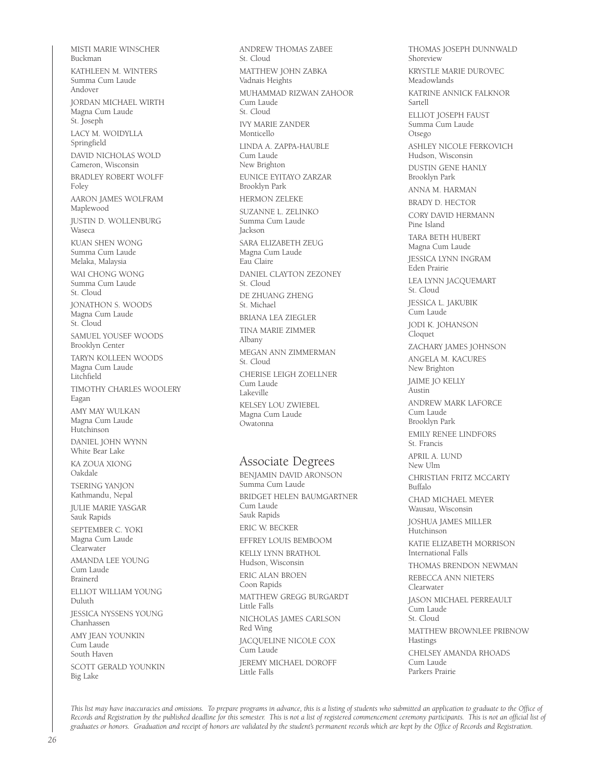MISTI MARIE WINSCHER Buckman KATHLEEN M. WINTERS Summa Cum Laude Andover JORDAN MICHAEL WIRTH Magna Cum Laude St. Joseph LACY M. WOIDYLLA Springfield DAVID NICHOLAS WOLD Cameron, Wisconsin BRADLEY ROBERT WOLFF Foley AARON JAMES WOLFRAM Maplewood JUSTIN D. WOLLENBURG Waseca KUAN SHEN WONG Summa Cum Laude Melaka, Malaysia WAI CHONG WONG Summa Cum Laude St. Cloud JONATHON S. WOODS Magna Cum Laude St. Cloud SAMUEL YOUSEF WOODS Brooklyn Center TARYN KOLLEEN WOODS Magna Cum Laude Litchfield TIMOTHY CHARLES WOOLERY Eagan AMY MAY WULKAN Magna Cum Laude Hutchinson DANIEL JOHN WYNN White Bear Lake KA ZOUA XIONG Oakdale TSERING YANJON Kathmandu, Nepal JULIE MARIE YASGAR Sauk Rapids SEPTEMBER C. YOKI Magna Cum Laude Clearwater AMANDA LEE YOUNG Cum Laude Brainerd ELLIOT WILLIAM YOUNG Duluth JESSICA NYSSENS YOUNG Chanhassen AMY JEAN YOUNKIN Cum Laude South Haven SCOTT GERALD YOUNKIN Big Lake

ANDREW THOMAS ZABEE St. Cloud MATTHEW JOHN ZABKA Vadnais Heights MUHAMMAD RIZWAN ZAHOOR Cum Laude St. Cloud IVY MARIE ZANDER Monticello LINDA A. ZAPPA-HAUBLE Cum Laude New Brighton EUNICE EYITAYO ZARZAR Brooklyn Park HERMON ZELEKE SUZANNE L. ZELINKO Summa Cum Laude Jackson SARA ELIZABETH ZEUG Magna Cum Laude Eau Claire DANIEL CLAYTON ZEZONEY St. Cloud DE ZHUANG ZHENG St. Michael BRIANA LEA ZIEGLER TINA MARIE ZIMMER Albany MEGAN ANN ZIMMERMAN St. Cloud CHERISE LEIGH ZOELLNER Cum Laude Lakeville KELSEY LOU ZWIEBEL Magna Cum Laude Owatonna Associate Degrees BENJAMIN DAVID ARONSON Summa Cum Laude BRIDGET HELEN BAUMGARTNER Cum Laude Sauk Rapids ERIC W. BECKER EFFREY LOUIS BEMBOOM KELLY LYNN BRATHOL Hudson, Wisconsin ERIC ALAN BROEN Coon Rapids MATTHEW GREGG BURGARDT Little Falls NICHOLAS JAMES CARLSON Red Wing JACQUELINE NICOLE COX Cum Laude

JEREMY MICHAEL DOROFF Little Falls

THOMAS JOSEPH DUNNWALD Shoreview KRYSTLE MARIE DUROVEC Meadowlands KATRINE ANNICK FALKNOR Sartell ELLIOT JOSEPH FAUST Summa Cum Laude Otsego ASHLEY NICOLE FERKOVICH Hudson, Wisconsin DUSTIN GENE HANLY Brooklyn Park ANNA M. HARMAN BRADY D. HECTOR CORY DAVID HERMANN Pine Island TARA BETH HUBERT Magna Cum Laude JESSICA LYNN INGRAM Eden Prairie LEA LYNN JACQUEMART St. Cloud JESSICA L. JAKUBIK Cum Laude JODI K. JOHANSON Cloquet ZACHARY JAMES JOHNSON ANGELA M. KACURES New Brighton JAIME JO KELLY Austin ANDREW MARK LAFORCE Cum Laude Brooklyn Park EMILY RENEE LINDFORS St. Francis APRIL A. LUND New Ulm CHRISTIAN FRITZ MCCARTY Buffalo CHAD MICHAEL MEYER Wausau, Wisconsin JOSHUA JAMES MILLER Hutchinson KATIE ELIZABETH MORRISON International Falls THOMAS BRENDON NEWMAN REBECCA ANN NIETERS Clearwater JASON MICHAEL PERREAULT Cum Laude St. Cloud MATTHEW BROWNLEE PRIBNOW Hastings CHELSEY AMANDA RHOADS Cum Laude Parkers Prairie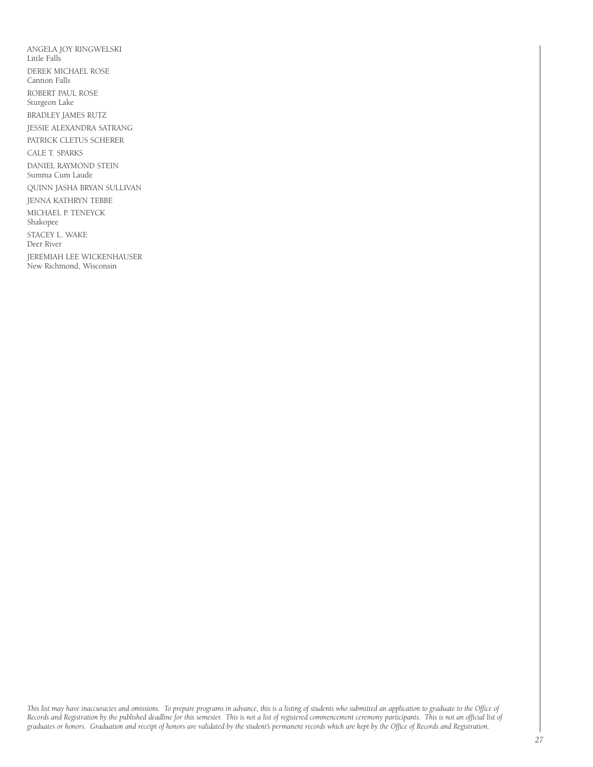ANGELA JOY RINGWELSKI Little Falls DEREK MICHAEL ROSE Cannon Falls ROBERT PAUL ROSE Sturgeon Lake BRADLEY JAMES RUTZ JESSIE ALEXANDRA SATRANG PATRICK CLETUS SCHERER CALE T. SPARKS DANIEL RAYMOND STEIN Summa Cum Laude QUINN JASHA BRYAN SULLIVAN JENNA KATHRYN TEBBE MICHAEL P. TENEYCK Shakopee STACEY L. WAKE Deer River JEREMIAH LEE WICKENHAUSER New Richmond, Wisconsin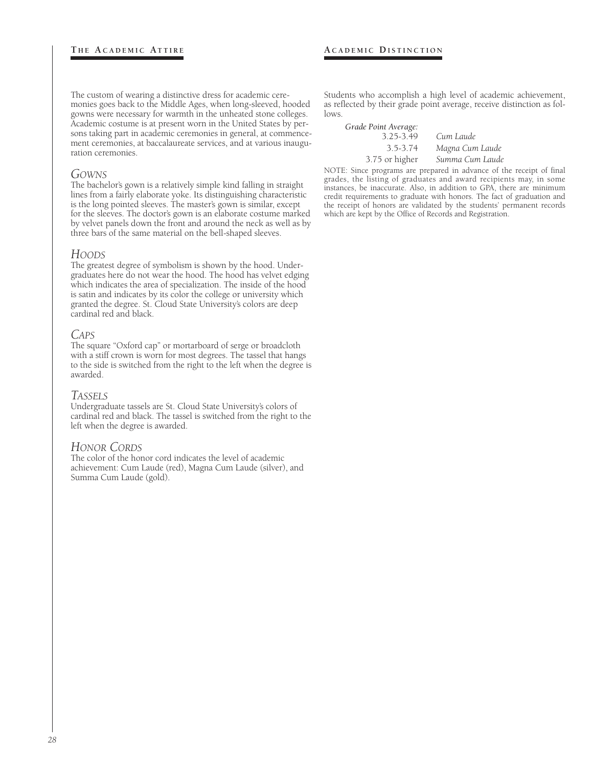The custom of wearing a distinctive dress for academic ceremonies goes back to the Middle Ages, when long-sleeved, hooded gowns were necessary for warmth in the unheated stone colleges. Academic costume is at present worn in the United States by persons taking part in academic ceremonies in general, at commencement ceremonies, at baccalaureate services, and at various inauguration ceremonies.

#### *GOWNS*

The bachelor's gown is a relatively simple kind falling in straight lines from a fairly elaborate yoke. Its distinguishing characteristic is the long pointed sleeves. The master's gown is similar, except for the sleeves. The doctor's gown is an elaborate costume marked by velvet panels down the front and around the neck as well as by three bars of the same material on the bell-shaped sleeves.

#### *HOODS*

The greatest degree of symbolism is shown by the hood. Undergraduates here do not wear the hood. The hood has velvet edging which indicates the area of specialization. The inside of the hood is satin and indicates by its color the college or university which granted the degree. St. Cloud State University's colors are deep cardinal red and black.

#### *CAPS*

The square "Oxford cap" or mortarboard of serge or broadcloth with a stiff crown is worn for most degrees. The tassel that hangs to the side is switched from the right to the left when the degree is awarded.

#### *TASSELS*

Undergraduate tassels are St. Cloud State University's colors of cardinal red and black. The tassel is switched from the right to the left when the degree is awarded.

#### *HONOR CORDS*

The color of the honor cord indicates the level of academic achievement: Cum Laude (red), Magna Cum Laude (silver), and Summa Cum Laude (gold).

Students who accomplish a high level of academic achievement, as reflected by their grade point average, receive distinction as follows.

*Grade Point Average:* 3.25-3.49 *Cum Laude* 3.5-3.74 *Magna Cum Laude* 3.75 or higher *Summa Cum Laude*

NOTE: Since programs are prepared in advance of the receipt of final grades, the listing of graduates and award recipients may, in some instances, be inaccurate. Also, in addition to GPA, there are minimum credit requirements to graduate with honors. The fact of graduation and the receipt of honors are validated by the students' permanent records which are kept by the Office of Records and Registration.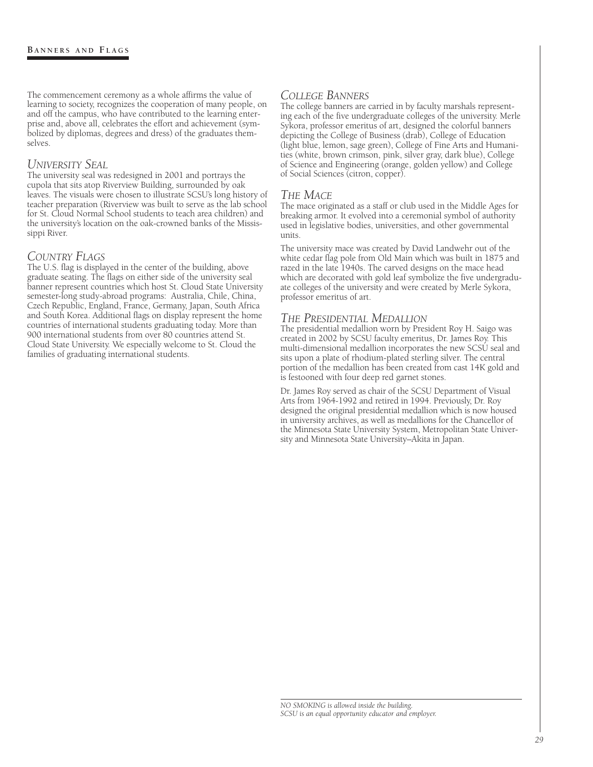The commencement ceremony as a whole affirms the value of learning to society, recognizes the cooperation of many people, on and off the campus, who have contributed to the learning enterprise and, above all, celebrates the effort and achievement (symbolized by diplomas, degrees and dress) of the graduates themselves.

#### *UNIVERSITY SEAL*

The university seal was redesigned in 2001 and portrays the cupola that sits atop Riverview Building, surrounded by oak leaves. The visuals were chosen to illustrate SCSU's long history of teacher preparation (Riverview was built to serve as the lab school for St. Cloud Normal School students to teach area children) and the university's location on the oak-crowned banks of the Mississippi River.

#### *COUNTRY FLAGS*

The U.S. flag is displayed in the center of the building, above graduate seating. The flags on either side of the university seal banner represent countries which host St. Cloud State University semester-long study-abroad programs: Australia, Chile, China, Czech Republic, England, France, Germany, Japan, South Africa and South Korea. Additional flags on display represent the home countries of international students graduating today. More than 900 international students from over 80 countries attend St. Cloud State University. We especially welcome to St. Cloud the families of graduating international students.

#### *COLLEGE BANNERS*

The college banners are carried in by faculty marshals representing each of the five undergraduate colleges of the university. Merle Sykora, professor emeritus of art, designed the colorful banners depicting the College of Business (drab), College of Education (light blue, lemon, sage green), College of Fine Arts and Humanities (white, brown crimson, pink, silver gray, dark blue), College of Science and Engineering (orange, golden yellow) and College of Social Sciences (citron, copper).

#### *THE MACE*

The mace originated as a staff or club used in the Middle Ages for breaking armor. It evolved into a ceremonial symbol of authority used in legislative bodies, universities, and other governmental units.

The university mace was created by David Landwehr out of the white cedar flag pole from Old Main which was built in 1875 and razed in the late 1940s. The carved designs on the mace head which are decorated with gold leaf symbolize the five undergraduate colleges of the university and were created by Merle Sykora, professor emeritus of art.

#### *THE PRESIDENTIAL MEDALLION*

The presidential medallion worn by President Roy H. Saigo was created in 2002 by SCSU faculty emeritus, Dr. James Roy. This multi-dimensional medallion incorporates the new SCSU seal and sits upon a plate of rhodium-plated sterling silver. The central portion of the medallion has been created from cast 14K gold and is festooned with four deep red garnet stones.

Dr. James Roy served as chair of the SCSU Department of Visual Arts from 1964-1992 and retired in 1994. Previously, Dr. Roy designed the original presidential medallion which is now housed in university archives, as well as medallions for the Chancellor of the Minnesota State University System, Metropolitan State University and Minnesota State University–Akita in Japan.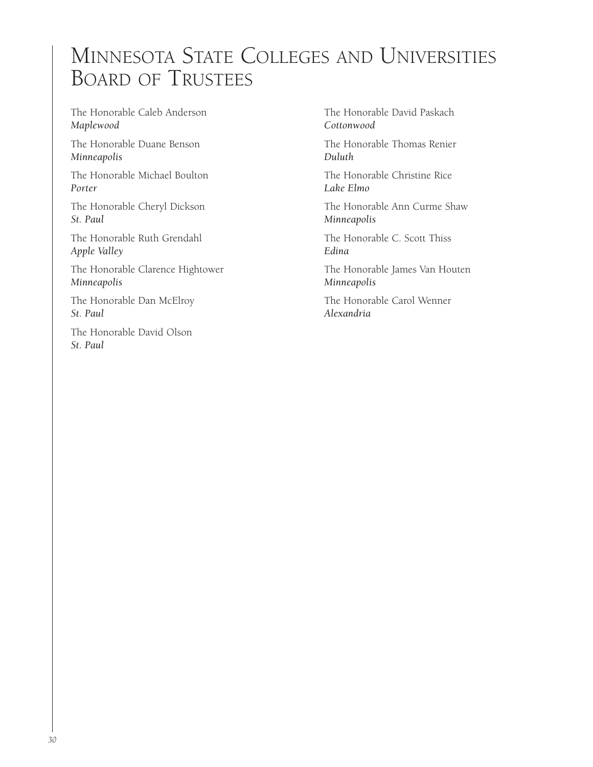## MINNESOTA STATE COLLEGES AND UNIVERSITIES BOARD OF TRUSTEES

The Honorable Caleb Anderson *Maplewood*

The Honorable Duane Benson *Minneapolis*

The Honorable Michael Boulton *Porter*

The Honorable Cheryl Dickson *St. Paul*

The Honorable Ruth Grendahl *Apple Valley*

The Honorable Clarence Hightower *Minneapolis*

The Honorable Dan McElroy *St. Paul*

The Honorable David Olson *St. Paul*

The Honorable David Paskach *Cottonwood*

The Honorable Thomas Renier *Duluth*

The Honorable Christine Rice *Lake Elmo*

The Honorable Ann Curme Shaw *Minneapolis*

The Honorable C. Scott Thiss *Edina*

The Honorable James Van Houten *Minneapolis*

The Honorable Carol Wenner *Alexandria*